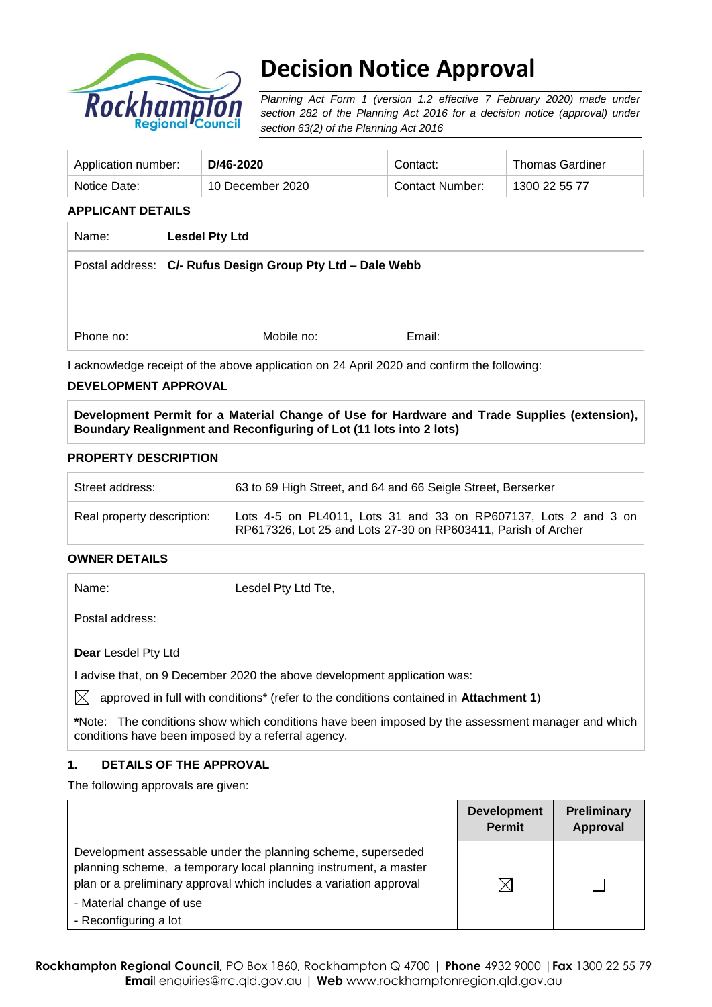

# **Decision Notice Approval**

*Planning Act Form 1 (version 1.2 effective 7 February 2020) made under section 282 of the Planning Act 2016 for a decision notice (approval) under section 63(2) of the Planning Act 2016*

| Application number: | D/46-2020        | Contact:        | <b>Thomas Gardiner</b> |
|---------------------|------------------|-----------------|------------------------|
| Notice Date:        | 10 December 2020 | Contact Number: | 1300 22 55 77          |

#### **APPLICANT DETAILS**

| Name:     | <b>Lesdel Pty Ltd</b>                                      |
|-----------|------------------------------------------------------------|
|           | Postal address: C/- Rufus Design Group Pty Ltd - Dale Webb |
|           |                                                            |
|           |                                                            |
| Phone no: | Email:<br>Mobile no:                                       |

I acknowledge receipt of the above application on 24 April 2020 and confirm the following:

#### **DEVELOPMENT APPROVAL**

**Development Permit for a Material Change of Use for Hardware and Trade Supplies (extension), Boundary Realignment and Reconfiguring of Lot (11 lots into 2 lots)**

#### **PROPERTY DESCRIPTION**

| Street address:            | 63 to 69 High Street, and 64 and 66 Seigle Street, Berserker                                                                     |  |
|----------------------------|----------------------------------------------------------------------------------------------------------------------------------|--|
| Real property description: | Lots 4-5 on PL4011, Lots 31 and 33 on RP607137, Lots 2 and 3 on<br>RP617326, Lot 25 and Lots 27-30 on RP603411, Parish of Archer |  |

#### **OWNER DETAILS**

| Name:                                                                    | Lesdel Pty Ltd Tte, |
|--------------------------------------------------------------------------|---------------------|
| Postal address:                                                          |                     |
| <b>Dear</b> Lesdel Pty Ltd                                               |                     |
| I advise that, on 9 December 2020 the above development application was: |                     |

 $\boxtimes$  approved in full with conditions<sup>\*</sup> (refer to the conditions contained in Attachment 1)

**\***Note:The conditions show which conditions have been imposed by the assessment manager and which conditions have been imposed by a referral agency.

#### **1. DETAILS OF THE APPROVAL**

The following approvals are given:

|                                                                                                                                                                                                                                                             | <b>Development</b><br><b>Permit</b> | Preliminary<br>Approval |
|-------------------------------------------------------------------------------------------------------------------------------------------------------------------------------------------------------------------------------------------------------------|-------------------------------------|-------------------------|
| Development assessable under the planning scheme, superseded<br>planning scheme, a temporary local planning instrument, a master<br>plan or a preliminary approval which includes a variation approval<br>- Material change of use<br>- Reconfiguring a lot | IX                                  |                         |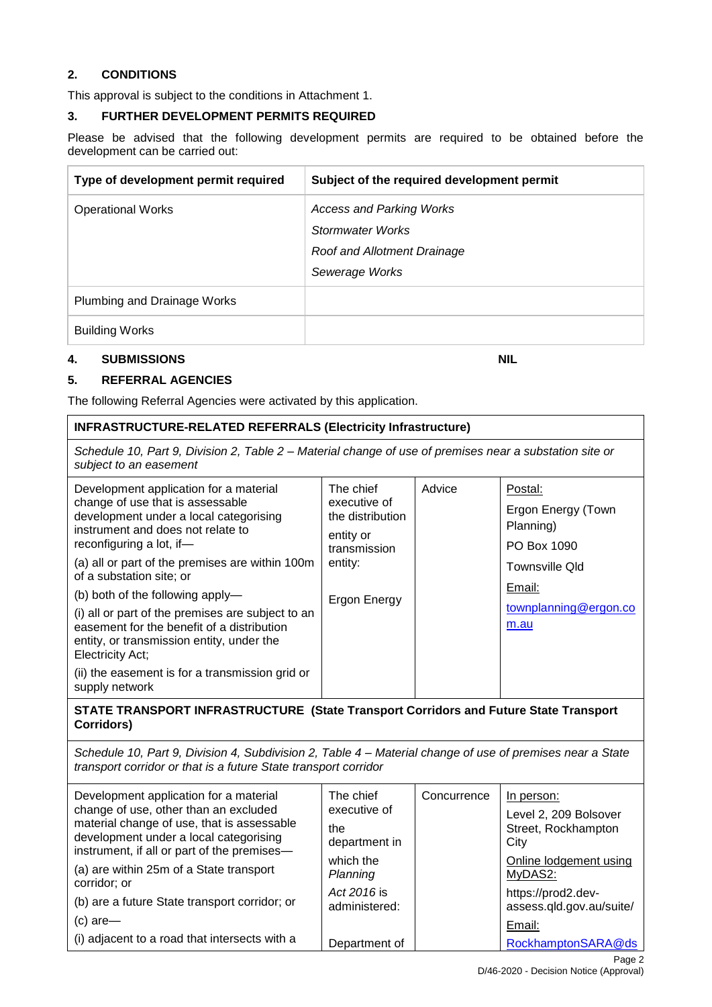#### **2. CONDITIONS**

This approval is subject to the conditions in Attachment 1.

#### **3. FURTHER DEVELOPMENT PERMITS REQUIRED**

Please be advised that the following development permits are required to be obtained before the development can be carried out:

| Type of development permit required | Subject of the required development permit                                                    |
|-------------------------------------|-----------------------------------------------------------------------------------------------|
| <b>Operational Works</b>            | Access and Parking Works<br>Stormwater Works<br>Roof and Allotment Drainage<br>Sewerage Works |
| Plumbing and Drainage Works         |                                                                                               |
| <b>Building Works</b>               |                                                                                               |

#### **4. SUBMISSIONS NIL**

#### **5. REFERRAL AGENCIES**

The following Referral Agencies were activated by this application.

#### **INFRASTRUCTURE-RELATED REFERRALS (Electricity Infrastructure)**

*Schedule 10, Part 9, Division 2, Table 2 – Material change of use of premises near a substation site or subject to an easement*

| Development application for a material<br>change of use that is assessable<br>development under a local categorising<br>instrument and does not relate to<br>reconfiguring a lot, if-<br>(a) all or part of the premises are within 100m<br>of a substation site; or<br>(b) both of the following apply-<br>(i) all or part of the premises are subject to an<br>easement for the benefit of a distribution<br>entity, or transmission entity, under the<br><b>Electricity Act;</b> | The chief<br>executive of<br>the distribution<br>entity or<br>transmission<br>entity:<br>Ergon Energy | Advice | Postal:<br>Ergon Energy (Town<br>Planning)<br>PO Box 1090<br><b>Townsville Qld</b><br>Email:<br>townplanning@ergon.co<br>m.au |
|-------------------------------------------------------------------------------------------------------------------------------------------------------------------------------------------------------------------------------------------------------------------------------------------------------------------------------------------------------------------------------------------------------------------------------------------------------------------------------------|-------------------------------------------------------------------------------------------------------|--------|-------------------------------------------------------------------------------------------------------------------------------|
| (ii) the easement is for a transmission grid or<br>supply network                                                                                                                                                                                                                                                                                                                                                                                                                   |                                                                                                       |        |                                                                                                                               |

#### **STATE TRANSPORT INFRASTRUCTURE (State Transport Corridors and Future State Transport Corridors)**

*Schedule 10, Part 9, Division 4, Subdivision 2, Table 4 – Material change of use of premises near a State transport corridor or that is a future State transport corridor*

| Development application for a material<br>change of use, other than an excluded<br>material change of use, that is assessable<br>development under a local categorising | The chief<br>Concurrence<br>executive of<br>the<br>department in |  | In person:<br>Level 2, 209 Bolsover<br>Street, Rockhampton<br>City |
|-------------------------------------------------------------------------------------------------------------------------------------------------------------------------|------------------------------------------------------------------|--|--------------------------------------------------------------------|
| instrument, if all or part of the premises-                                                                                                                             | which the                                                        |  | Online lodgement using                                             |
| (a) are within 25m of a State transport                                                                                                                                 | Planning                                                         |  | MyDAS2:                                                            |
| corridor; or                                                                                                                                                            | Act 2016 is                                                      |  | https://prod2.dev-                                                 |
| (b) are a future State transport corridor; or                                                                                                                           | administered:                                                    |  | assess.qld.gov.au/suite/                                           |
| $(c)$ are-<br>(i) adjacent to a road that intersects with a                                                                                                             | Department of                                                    |  | Email:<br>RockhamptonSARA@ds                                       |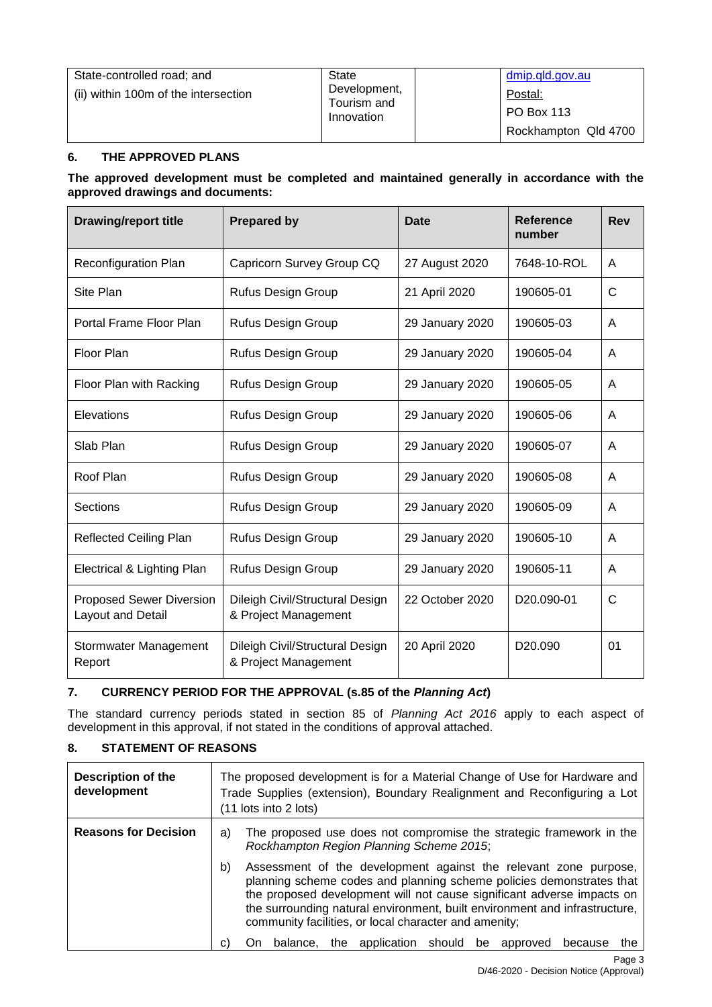| State-controlled road; and<br>(ii) within 100m of the intersection | <b>State</b><br>Development,<br>Tourism and<br>Innovation | dmip.gld.gov.au<br>Postal:<br>PO Box 113<br>Rockhampton Qld 4700 |
|--------------------------------------------------------------------|-----------------------------------------------------------|------------------------------------------------------------------|
|--------------------------------------------------------------------|-----------------------------------------------------------|------------------------------------------------------------------|

## **6. THE APPROVED PLANS**

**The approved development must be completed and maintained generally in accordance with the approved drawings and documents:**

| <b>Drawing/report title</b>                          | <b>Prepared by</b>                                      | <b>Date</b>     | Reference<br>number     | <b>Rev</b> |
|------------------------------------------------------|---------------------------------------------------------|-----------------|-------------------------|------------|
| <b>Reconfiguration Plan</b>                          | Capricorn Survey Group CQ                               | 27 August 2020  | 7648-10-ROL             | A          |
| Site Plan                                            | Rufus Design Group                                      | 21 April 2020   | 190605-01               | C          |
| Portal Frame Floor Plan                              | Rufus Design Group                                      | 29 January 2020 | 190605-03               | A          |
| Floor Plan                                           | Rufus Design Group                                      | 29 January 2020 | 190605-04               | A          |
| Floor Plan with Racking                              | Rufus Design Group                                      | 29 January 2020 | 190605-05               | A          |
| Elevations                                           | Rufus Design Group                                      | 29 January 2020 | 190605-06               | A          |
| Slab Plan                                            | Rufus Design Group                                      | 29 January 2020 | 190605-07               | A          |
| Roof Plan                                            | Rufus Design Group                                      | 29 January 2020 | 190605-08               | A          |
| Sections                                             | Rufus Design Group                                      | 29 January 2020 | 190605-09               | A          |
| <b>Reflected Ceiling Plan</b>                        | Rufus Design Group                                      | 29 January 2020 | 190605-10               | A          |
| Electrical & Lighting Plan                           | Rufus Design Group                                      | 29 January 2020 | 190605-11               | A          |
| <b>Proposed Sewer Diversion</b><br>Layout and Detail | Dileigh Civil/Structural Design<br>& Project Management | 22 October 2020 | D <sub>20.090</sub> -01 | C          |
| Stormwater Management<br>Report                      | Dileigh Civil/Structural Design<br>& Project Management | 20 April 2020   | D <sub>20.090</sub>     | 01         |

## **7. CURRENCY PERIOD FOR THE APPROVAL (s.85 of the** *Planning Act***)**

The standard currency periods stated in section 85 of *Planning Act 2016* apply to each aspect of development in this approval, if not stated in the conditions of approval attached.

## **8. STATEMENT OF REASONS**

| <b>Description of the</b><br>development | The proposed development is for a Material Change of Use for Hardware and<br>Trade Supplies (extension), Boundary Realignment and Reconfiguring a Lot<br>(11 lots into 2 lots) |                                                                                                                                                                                                                                                                                                                                                                                                                                                                                                                                                         |  |  |
|------------------------------------------|--------------------------------------------------------------------------------------------------------------------------------------------------------------------------------|---------------------------------------------------------------------------------------------------------------------------------------------------------------------------------------------------------------------------------------------------------------------------------------------------------------------------------------------------------------------------------------------------------------------------------------------------------------------------------------------------------------------------------------------------------|--|--|
| <b>Reasons for Decision</b>              | a)<br>b)                                                                                                                                                                       | The proposed use does not compromise the strategic framework in the<br>Rockhampton Region Planning Scheme 2015;<br>Assessment of the development against the relevant zone purpose,<br>planning scheme codes and planning scheme policies demonstrates that<br>the proposed development will not cause significant adverse impacts on<br>the surrounding natural environment, built environment and infrastructure,<br>community facilities, or local character and amenity;<br>the application should be approved<br>balance.<br>because<br>the<br>On. |  |  |
|                                          | C)                                                                                                                                                                             |                                                                                                                                                                                                                                                                                                                                                                                                                                                                                                                                                         |  |  |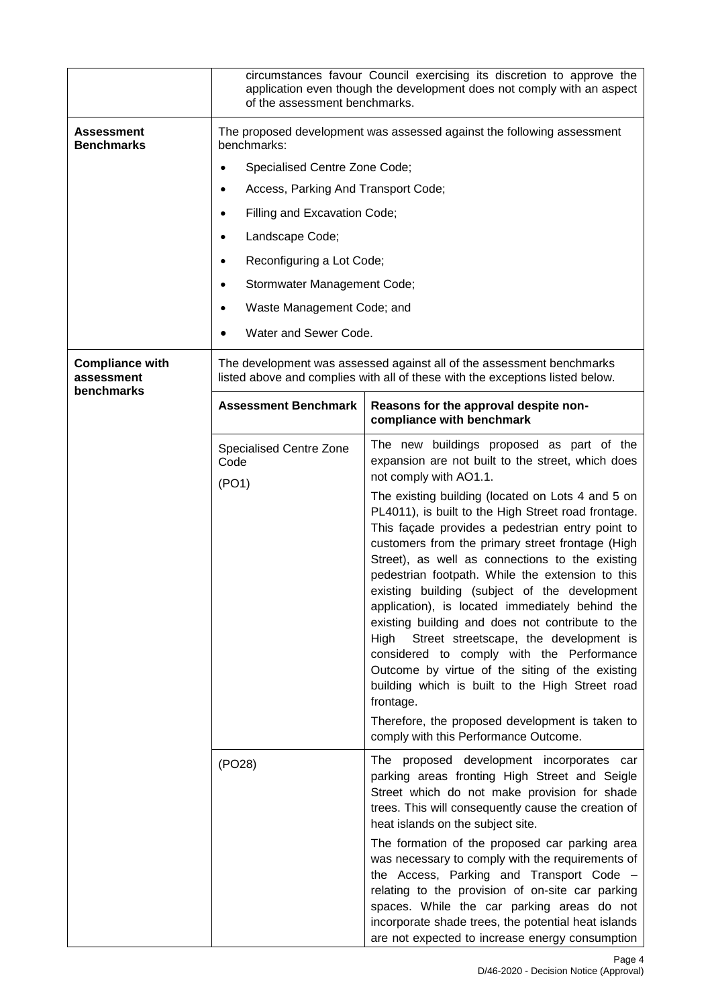|                                                    | of the assessment benchmarks.                                                                                                                          | circumstances favour Council exercising its discretion to approve the<br>application even though the development does not comply with an aspect                                                                                                                                                                                                                                                                                                                                                                                                                                                                                                                                                                                                                                                                                                                                                                           |  |  |
|----------------------------------------------------|--------------------------------------------------------------------------------------------------------------------------------------------------------|---------------------------------------------------------------------------------------------------------------------------------------------------------------------------------------------------------------------------------------------------------------------------------------------------------------------------------------------------------------------------------------------------------------------------------------------------------------------------------------------------------------------------------------------------------------------------------------------------------------------------------------------------------------------------------------------------------------------------------------------------------------------------------------------------------------------------------------------------------------------------------------------------------------------------|--|--|
| <b>Assessment</b><br><b>Benchmarks</b>             | The proposed development was assessed against the following assessment<br>benchmarks:                                                                  |                                                                                                                                                                                                                                                                                                                                                                                                                                                                                                                                                                                                                                                                                                                                                                                                                                                                                                                           |  |  |
|                                                    | Specialised Centre Zone Code;<br>$\bullet$                                                                                                             |                                                                                                                                                                                                                                                                                                                                                                                                                                                                                                                                                                                                                                                                                                                                                                                                                                                                                                                           |  |  |
|                                                    | Access, Parking And Transport Code;<br>$\bullet$                                                                                                       |                                                                                                                                                                                                                                                                                                                                                                                                                                                                                                                                                                                                                                                                                                                                                                                                                                                                                                                           |  |  |
|                                                    | Filling and Excavation Code;<br>$\bullet$                                                                                                              |                                                                                                                                                                                                                                                                                                                                                                                                                                                                                                                                                                                                                                                                                                                                                                                                                                                                                                                           |  |  |
|                                                    | Landscape Code;<br>٠                                                                                                                                   |                                                                                                                                                                                                                                                                                                                                                                                                                                                                                                                                                                                                                                                                                                                                                                                                                                                                                                                           |  |  |
|                                                    | Reconfiguring a Lot Code;<br>$\bullet$                                                                                                                 |                                                                                                                                                                                                                                                                                                                                                                                                                                                                                                                                                                                                                                                                                                                                                                                                                                                                                                                           |  |  |
|                                                    | Stormwater Management Code;<br>$\bullet$                                                                                                               |                                                                                                                                                                                                                                                                                                                                                                                                                                                                                                                                                                                                                                                                                                                                                                                                                                                                                                                           |  |  |
|                                                    | Waste Management Code; and<br>٠                                                                                                                        |                                                                                                                                                                                                                                                                                                                                                                                                                                                                                                                                                                                                                                                                                                                                                                                                                                                                                                                           |  |  |
|                                                    | Water and Sewer Code.<br>$\bullet$                                                                                                                     |                                                                                                                                                                                                                                                                                                                                                                                                                                                                                                                                                                                                                                                                                                                                                                                                                                                                                                                           |  |  |
| <b>Compliance with</b><br>assessment<br>benchmarks | The development was assessed against all of the assessment benchmarks<br>listed above and complies with all of these with the exceptions listed below. |                                                                                                                                                                                                                                                                                                                                                                                                                                                                                                                                                                                                                                                                                                                                                                                                                                                                                                                           |  |  |
|                                                    | <b>Assessment Benchmark</b>                                                                                                                            | Reasons for the approval despite non-<br>compliance with benchmark                                                                                                                                                                                                                                                                                                                                                                                                                                                                                                                                                                                                                                                                                                                                                                                                                                                        |  |  |
|                                                    | Specialised Centre Zone<br>Code<br>(PO1)                                                                                                               | The new buildings proposed as part of the<br>expansion are not built to the street, which does<br>not comply with AO1.1.<br>The existing building (located on Lots 4 and 5 on<br>PL4011), is built to the High Street road frontage.<br>This façade provides a pedestrian entry point to<br>customers from the primary street frontage (High<br>Street), as well as connections to the existing<br>pedestrian footpath. While the extension to this<br>existing building (subject of the development<br>application), is located immediately behind the<br>existing building and does not contribute to the<br>Street streetscape, the development is<br>High<br>considered to comply with the Performance<br>Outcome by virtue of the siting of the existing<br>building which is built to the High Street road<br>frontage.<br>Therefore, the proposed development is taken to<br>comply with this Performance Outcome. |  |  |
|                                                    | (PO28)                                                                                                                                                 | The proposed development incorporates car<br>parking areas fronting High Street and Seigle<br>Street which do not make provision for shade<br>trees. This will consequently cause the creation of<br>heat islands on the subject site.<br>The formation of the proposed car parking area<br>was necessary to comply with the requirements of<br>the Access, Parking and Transport Code -<br>relating to the provision of on-site car parking<br>spaces. While the car parking areas do not<br>incorporate shade trees, the potential heat islands<br>are not expected to increase energy consumption                                                                                                                                                                                                                                                                                                                      |  |  |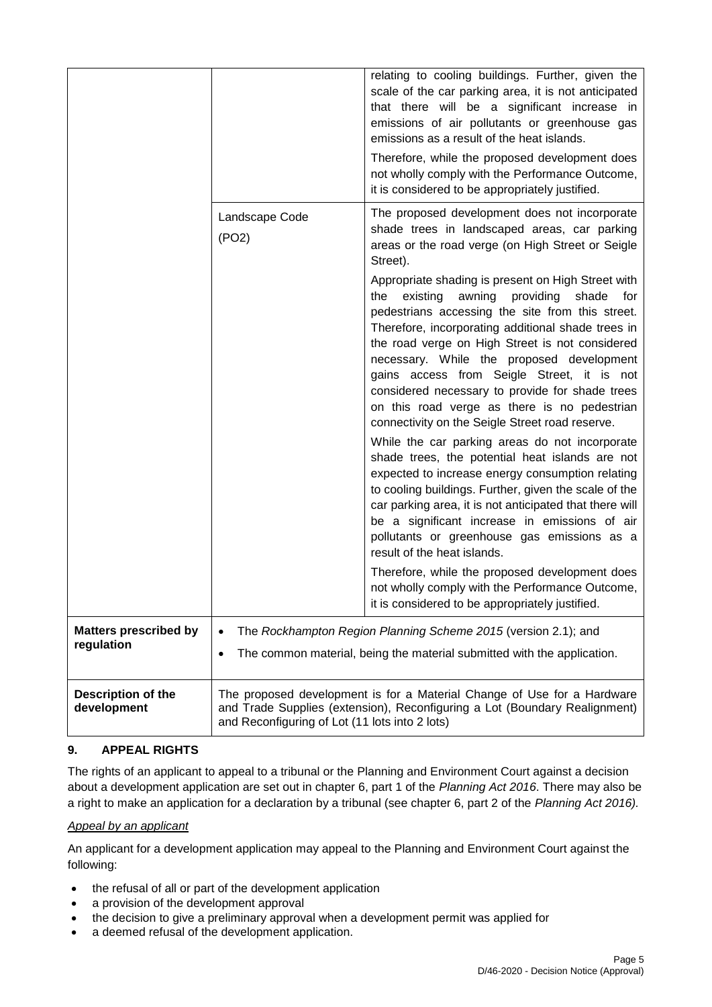|                                            |                                                                                                                                                                                                         | relating to cooling buildings. Further, given the<br>scale of the car parking area, it is not anticipated<br>that there will be a significant increase in<br>emissions of air pollutants or greenhouse gas<br>emissions as a result of the heat islands.<br>Therefore, while the proposed development does<br>not wholly comply with the Performance Outcome,<br>it is considered to be appropriately justified.                                                 |
|--------------------------------------------|---------------------------------------------------------------------------------------------------------------------------------------------------------------------------------------------------------|------------------------------------------------------------------------------------------------------------------------------------------------------------------------------------------------------------------------------------------------------------------------------------------------------------------------------------------------------------------------------------------------------------------------------------------------------------------|
|                                            | Landscape Code<br>(PO2)                                                                                                                                                                                 | The proposed development does not incorporate<br>shade trees in landscaped areas, car parking<br>areas or the road verge (on High Street or Seigle<br>Street).<br>Appropriate shading is present on High Street with                                                                                                                                                                                                                                             |
|                                            |                                                                                                                                                                                                         | existing awning providing<br>shade<br>the<br>for f<br>pedestrians accessing the site from this street.<br>Therefore, incorporating additional shade trees in<br>the road verge on High Street is not considered<br>necessary. While the proposed development<br>gains access from Seigle Street, it is not<br>considered necessary to provide for shade trees<br>on this road verge as there is no pedestrian<br>connectivity on the Seigle Street road reserve. |
|                                            |                                                                                                                                                                                                         | While the car parking areas do not incorporate<br>shade trees, the potential heat islands are not<br>expected to increase energy consumption relating<br>to cooling buildings. Further, given the scale of the<br>car parking area, it is not anticipated that there will<br>be a significant increase in emissions of air<br>pollutants or greenhouse gas emissions as a<br>result of the heat islands.                                                         |
|                                            |                                                                                                                                                                                                         | Therefore, while the proposed development does<br>not wholly comply with the Performance Outcome,<br>it is considered to be appropriately justified.                                                                                                                                                                                                                                                                                                             |
| <b>Matters prescribed by</b><br>regulation | $\bullet$<br>$\bullet$                                                                                                                                                                                  | The Rockhampton Region Planning Scheme 2015 (version 2.1); and<br>The common material, being the material submitted with the application.                                                                                                                                                                                                                                                                                                                        |
| <b>Description of the</b><br>development   | The proposed development is for a Material Change of Use for a Hardware<br>and Trade Supplies (extension), Reconfiguring a Lot (Boundary Realignment)<br>and Reconfiguring of Lot (11 lots into 2 lots) |                                                                                                                                                                                                                                                                                                                                                                                                                                                                  |

## **9. APPEAL RIGHTS**

The rights of an applicant to appeal to a tribunal or the Planning and Environment Court against a decision about a development application are set out in chapter 6, part 1 of the *Planning Act 2016*. There may also be a right to make an application for a declaration by a tribunal (see chapter 6, part 2 of the *Planning Act 2016).*

#### *Appeal by an applicant*

An applicant for a development application may appeal to the Planning and Environment Court against the following:

- the refusal of all or part of the development application
- a provision of the development approval
- the decision to give a preliminary approval when a development permit was applied for
- a deemed refusal of the development application.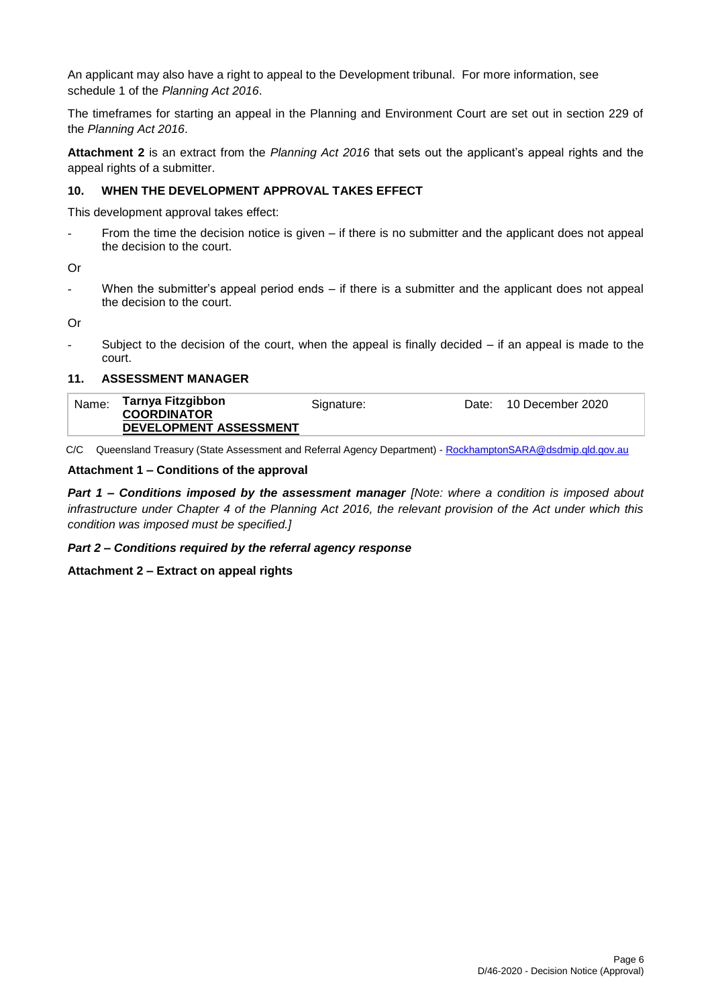An applicant may also have a right to appeal to the Development tribunal. For more information, see schedule 1 of the *Planning Act 2016*.

The timeframes for starting an appeal in the Planning and Environment Court are set out in section 229 of the *Planning Act 2016*.

**Attachment 2** is an extract from the *Planning Act 2016* that sets out the applicant's appeal rights and the appeal rights of a submitter.

#### **10. WHEN THE DEVELOPMENT APPROVAL TAKES EFFECT**

This development approval takes effect:

From the time the decision notice is given – if there is no submitter and the applicant does not appeal the decision to the court.

Or

When the submitter's appeal period ends  $-$  if there is a submitter and the applicant does not appeal the decision to the court.

Or

Subject to the decision of the court, when the appeal is finally decided  $-$  if an appeal is made to the court.

#### **11. ASSESSMENT MANAGER**

| <b>COORDINATOR</b><br>DEVELOPMENT ASSESSMENT | Tarnya Fitzgibbon<br>Name:<br>10 December 2020<br>Signature:<br>Date: |
|----------------------------------------------|-----------------------------------------------------------------------|
|----------------------------------------------|-----------------------------------------------------------------------|

C/C Queensland Treasury (State Assessment and Referral Agency Department) - [RockhamptonSARA@dsdmip.qld.gov.au](mailto:RockhamptonSARA@dsdmip.qld.gov.au)

#### **Attachment 1 – Conditions of the approval**

*Part 1* **–** *Conditions imposed by the assessment manager [Note: where a condition is imposed about infrastructure under Chapter 4 of the Planning Act 2016, the relevant provision of the Act under which this condition was imposed must be specified.]*

#### *Part 2 – Conditions required by the referral agency response*

**Attachment 2 – Extract on appeal rights**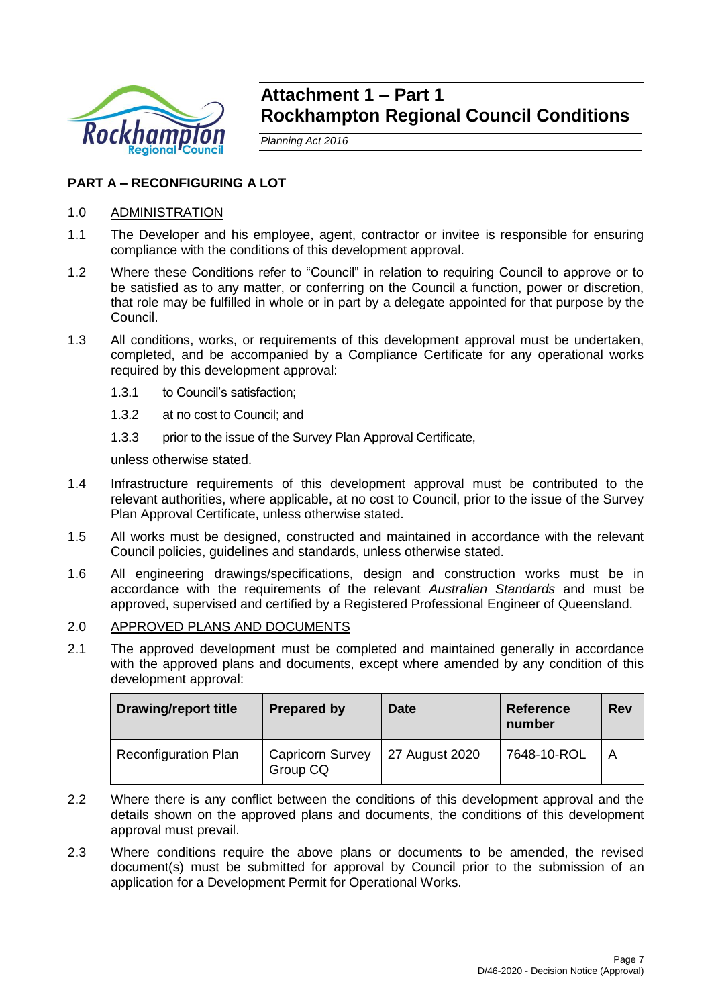

# **Attachment 1 – Part 1 Rockhampton Regional Council Conditions**

*Planning Act 2016*

## **PART A – RECONFIGURING A LOT**

## 1.0 ADMINISTRATION

- 1.1 The Developer and his employee, agent, contractor or invitee is responsible for ensuring compliance with the conditions of this development approval.
- 1.2 Where these Conditions refer to "Council" in relation to requiring Council to approve or to be satisfied as to any matter, or conferring on the Council a function, power or discretion, that role may be fulfilled in whole or in part by a delegate appointed for that purpose by the Council.
- 1.3 All conditions, works, or requirements of this development approval must be undertaken, completed, and be accompanied by a Compliance Certificate for any operational works required by this development approval:
	- 1.3.1 to Council's satisfaction;
	- 1.3.2 at no cost to Council; and
	- 1.3.3 prior to the issue of the Survey Plan Approval Certificate,

unless otherwise stated.

- 1.4 Infrastructure requirements of this development approval must be contributed to the relevant authorities, where applicable, at no cost to Council, prior to the issue of the Survey Plan Approval Certificate, unless otherwise stated.
- 1.5 All works must be designed, constructed and maintained in accordance with the relevant Council policies, guidelines and standards, unless otherwise stated.
- 1.6 All engineering drawings/specifications, design and construction works must be in accordance with the requirements of the relevant *Australian Standards* and must be approved, supervised and certified by a Registered Professional Engineer of Queensland.
- 2.0 APPROVED PLANS AND DOCUMENTS
- 2.1 The approved development must be completed and maintained generally in accordance with the approved plans and documents, except where amended by any condition of this development approval:

| <b>Drawing/report title</b> | <b>Prepared by</b>                  | <b>Date</b>    | <b>Reference</b><br>number | <b>Rev</b>              |
|-----------------------------|-------------------------------------|----------------|----------------------------|-------------------------|
| <b>Reconfiguration Plan</b> | <b>Capricorn Survey</b><br>Group CQ | 27 August 2020 | 7648-10-ROL                | $\overline{\mathsf{A}}$ |

- 2.2 Where there is any conflict between the conditions of this development approval and the details shown on the approved plans and documents, the conditions of this development approval must prevail.
- 2.3 Where conditions require the above plans or documents to be amended, the revised document(s) must be submitted for approval by Council prior to the submission of an application for a Development Permit for Operational Works.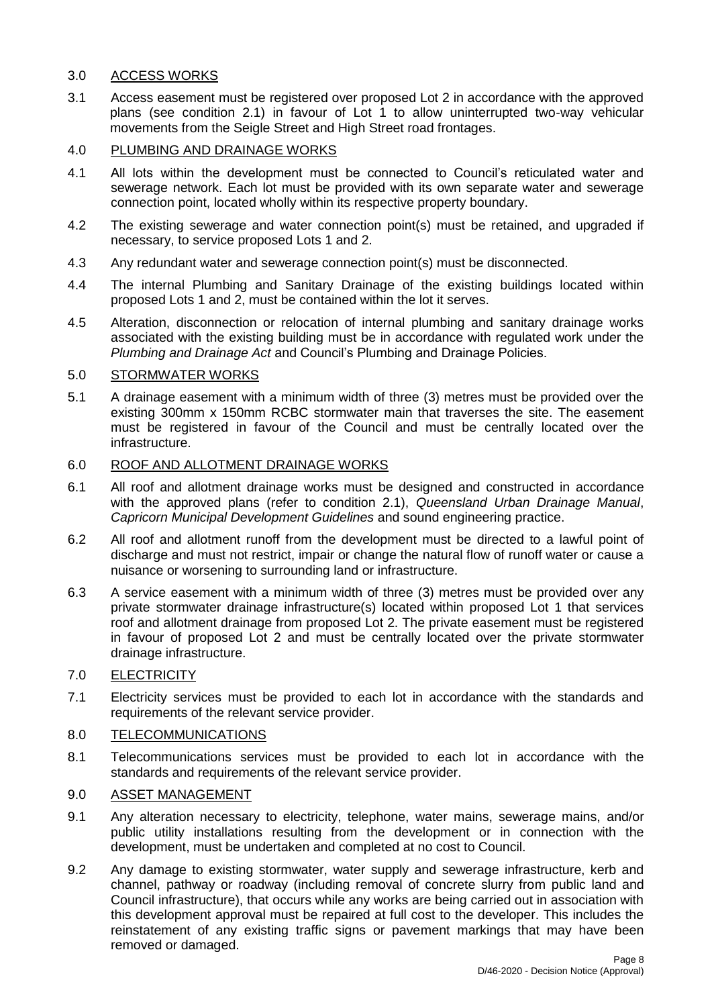## 3.0 ACCESS WORKS

3.1 Access easement must be registered over proposed Lot 2 in accordance with the approved plans (see condition 2.1) in favour of Lot 1 to allow uninterrupted two-way vehicular movements from the Seigle Street and High Street road frontages.

#### 4.0 PLUMBING AND DRAINAGE WORKS

- 4.1 All lots within the development must be connected to Council's reticulated water and sewerage network. Each lot must be provided with its own separate water and sewerage connection point, located wholly within its respective property boundary.
- 4.2 The existing sewerage and water connection point(s) must be retained, and upgraded if necessary, to service proposed Lots 1 and 2.
- 4.3 Any redundant water and sewerage connection point(s) must be disconnected.
- 4.4 The internal Plumbing and Sanitary Drainage of the existing buildings located within proposed Lots 1 and 2, must be contained within the lot it serves.
- 4.5 Alteration, disconnection or relocation of internal plumbing and sanitary drainage works associated with the existing building must be in accordance with regulated work under the *Plumbing and Drainage Act* and Council's Plumbing and Drainage Policies.

## 5.0 STORMWATER WORKS

5.1 A drainage easement with a minimum width of three (3) metres must be provided over the existing 300mm x 150mm RCBC stormwater main that traverses the site. The easement must be registered in favour of the Council and must be centrally located over the infrastructure.

## 6.0 ROOF AND ALLOTMENT DRAINAGE WORKS

- 6.1 All roof and allotment drainage works must be designed and constructed in accordance with the approved plans (refer to condition 2.1), *Queensland Urban Drainage Manual*, *Capricorn Municipal Development Guidelines* and sound engineering practice.
- 6.2 All roof and allotment runoff from the development must be directed to a lawful point of discharge and must not restrict, impair or change the natural flow of runoff water or cause a nuisance or worsening to surrounding land or infrastructure.
- 6.3 A service easement with a minimum width of three (3) metres must be provided over any private stormwater drainage infrastructure(s) located within proposed Lot 1 that services roof and allotment drainage from proposed Lot 2. The private easement must be registered in favour of proposed Lot 2 and must be centrally located over the private stormwater drainage infrastructure.

#### 7.0 ELECTRICITY

7.1 Electricity services must be provided to each lot in accordance with the standards and requirements of the relevant service provider.

## 8.0 TELECOMMUNICATIONS

8.1 Telecommunications services must be provided to each lot in accordance with the standards and requirements of the relevant service provider.

## 9.0 ASSET MANAGEMENT

- 9.1 Any alteration necessary to electricity, telephone, water mains, sewerage mains, and/or public utility installations resulting from the development or in connection with the development, must be undertaken and completed at no cost to Council.
- 9.2 Any damage to existing stormwater, water supply and sewerage infrastructure, kerb and channel, pathway or roadway (including removal of concrete slurry from public land and Council infrastructure), that occurs while any works are being carried out in association with this development approval must be repaired at full cost to the developer. This includes the reinstatement of any existing traffic signs or pavement markings that may have been removed or damaged.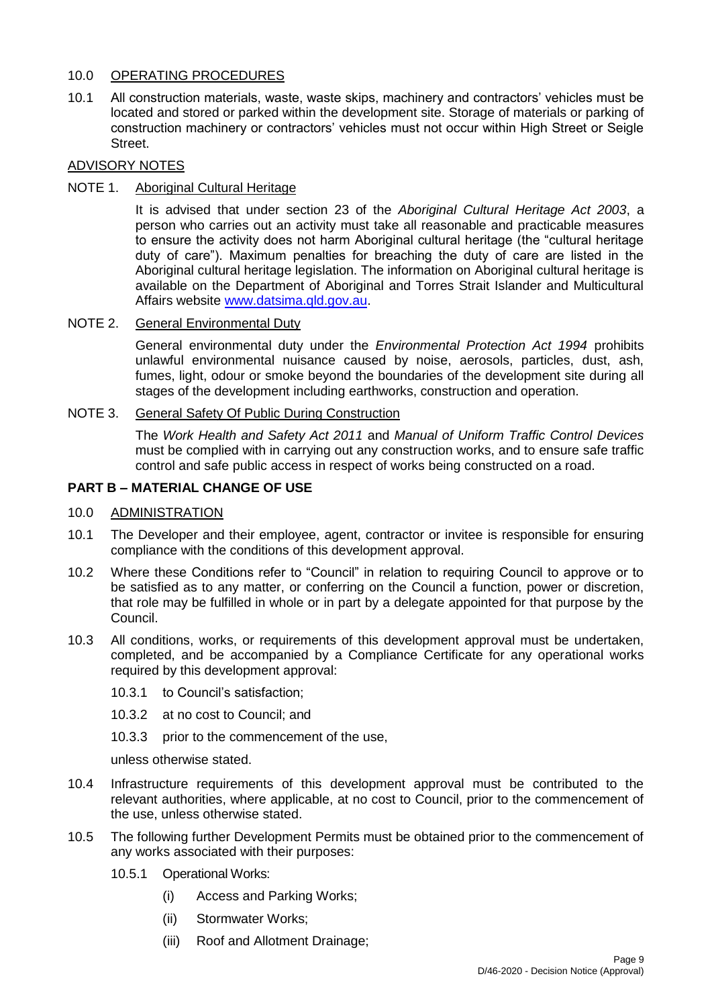## 10.0 OPERATING PROCEDURES

10.1 All construction materials, waste, waste skips, machinery and contractors' vehicles must be located and stored or parked within the development site. Storage of materials or parking of construction machinery or contractors' vehicles must not occur within High Street or Seigle Street.

## ADVISORY NOTES

## NOTE 1. Aboriginal Cultural Heritage

It is advised that under section 23 of the *Aboriginal Cultural Heritage Act 2003*, a person who carries out an activity must take all reasonable and practicable measures to ensure the activity does not harm Aboriginal cultural heritage (the "cultural heritage duty of care"). Maximum penalties for breaching the duty of care are listed in the Aboriginal cultural heritage legislation. The information on Aboriginal cultural heritage is available on the Department of Aboriginal and Torres Strait Islander and Multicultural Affairs website [www.datsima.qld.gov.au.](http://www.datsima.qld.gov.au/)

## NOTE 2. General Environmental Duty

General environmental duty under the *Environmental Protection Act 1994* prohibits unlawful environmental nuisance caused by noise, aerosols, particles, dust, ash, fumes, light, odour or smoke beyond the boundaries of the development site during all stages of the development including earthworks, construction and operation.

## NOTE 3. General Safety Of Public During Construction

The *Work Health and Safety Act 2011* and *Manual of Uniform Traffic Control Devices* must be complied with in carrying out any construction works, and to ensure safe traffic control and safe public access in respect of works being constructed on a road.

## **PART B – MATERIAL CHANGE OF USE**

## 10.0 ADMINISTRATION

- 10.1 The Developer and their employee, agent, contractor or invitee is responsible for ensuring compliance with the conditions of this development approval.
- 10.2 Where these Conditions refer to "Council" in relation to requiring Council to approve or to be satisfied as to any matter, or conferring on the Council a function, power or discretion, that role may be fulfilled in whole or in part by a delegate appointed for that purpose by the Council.
- 10.3 All conditions, works, or requirements of this development approval must be undertaken, completed, and be accompanied by a Compliance Certificate for any operational works required by this development approval:
	- 10.3.1 to Council's satisfaction;
	- 10.3.2 at no cost to Council; and
	- 10.3.3 prior to the commencement of the use,

unless otherwise stated.

- 10.4 Infrastructure requirements of this development approval must be contributed to the relevant authorities, where applicable, at no cost to Council, prior to the commencement of the use, unless otherwise stated.
- 10.5 The following further Development Permits must be obtained prior to the commencement of any works associated with their purposes:
	- 10.5.1 Operational Works:
		- (i) Access and Parking Works;
		- (ii) Stormwater Works;
		- (iii) Roof and Allotment Drainage;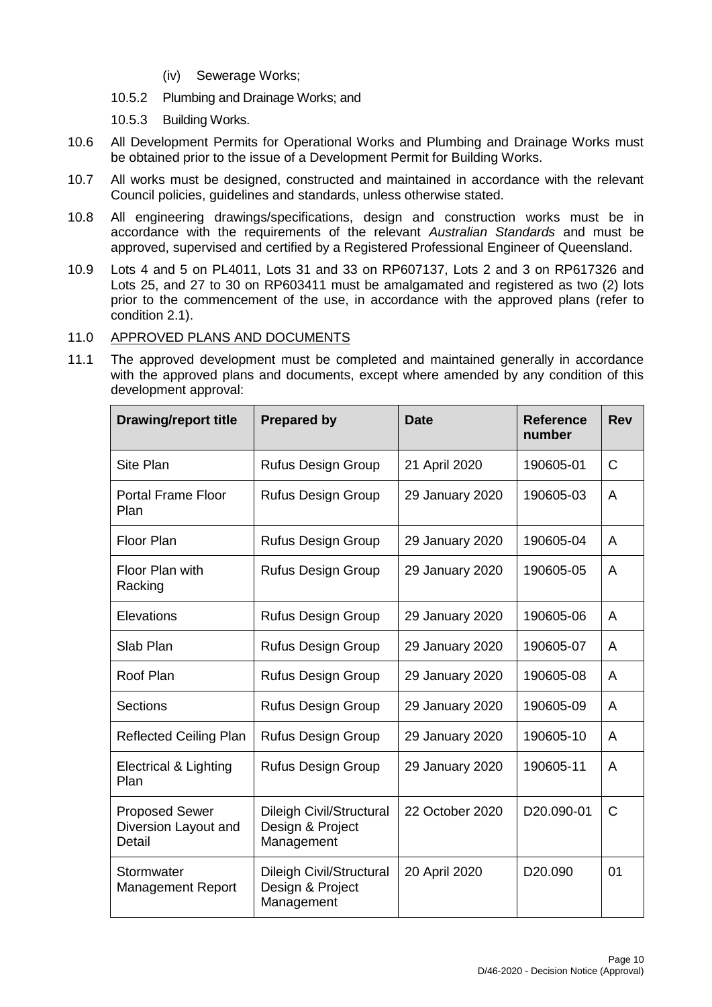- (iv) Sewerage Works;
- 10.5.2 Plumbing and Drainage Works; and
- 10.5.3 Building Works.
- 10.6 All Development Permits for Operational Works and Plumbing and Drainage Works must be obtained prior to the issue of a Development Permit for Building Works.
- 10.7 All works must be designed, constructed and maintained in accordance with the relevant Council policies, guidelines and standards, unless otherwise stated.
- 10.8 All engineering drawings/specifications, design and construction works must be in accordance with the requirements of the relevant *Australian Standards* and must be approved, supervised and certified by a Registered Professional Engineer of Queensland.
- 10.9 Lots 4 and 5 on PL4011, Lots 31 and 33 on RP607137, Lots 2 and 3 on RP617326 and Lots 25, and 27 to 30 on RP603411 must be amalgamated and registered as two (2) lots prior to the commencement of the use, in accordance with the approved plans (refer to condition 2.1).

## 11.0 APPROVED PLANS AND DOCUMENTS

11.1 The approved development must be completed and maintained generally in accordance with the approved plans and documents, except where amended by any condition of this development approval:

| <b>Drawing/report title</b>                             | <b>Prepared by</b>                                                | <b>Date</b>     | <b>Reference</b><br>number | <b>Rev</b> |
|---------------------------------------------------------|-------------------------------------------------------------------|-----------------|----------------------------|------------|
| Site Plan                                               | <b>Rufus Design Group</b>                                         | 21 April 2020   | 190605-01                  | C          |
| <b>Portal Frame Floor</b><br>Plan                       | <b>Rufus Design Group</b>                                         | 29 January 2020 | 190605-03                  | A          |
| Floor Plan                                              | <b>Rufus Design Group</b>                                         | 29 January 2020 | 190605-04                  | A          |
| Floor Plan with<br>Racking                              | <b>Rufus Design Group</b>                                         | 29 January 2020 | 190605-05                  | A          |
| Elevations                                              | <b>Rufus Design Group</b>                                         | 29 January 2020 | 190605-06                  | A          |
| Slab Plan                                               | <b>Rufus Design Group</b>                                         | 29 January 2020 | 190605-07                  | A          |
| Roof Plan                                               | <b>Rufus Design Group</b>                                         | 29 January 2020 | 190605-08                  | A          |
| <b>Sections</b>                                         | <b>Rufus Design Group</b>                                         | 29 January 2020 | 190605-09                  | A          |
| <b>Reflected Ceiling Plan</b>                           | <b>Rufus Design Group</b>                                         | 29 January 2020 | 190605-10                  | A          |
| Electrical & Lighting<br>Plan                           | <b>Rufus Design Group</b>                                         | 29 January 2020 | 190605-11                  | A          |
| <b>Proposed Sewer</b><br>Diversion Layout and<br>Detail | <b>Dileigh Civil/Structural</b><br>Design & Project<br>Management | 22 October 2020 | D20.090-01                 | C          |
| Stormwater<br><b>Management Report</b>                  | <b>Dileigh Civil/Structural</b><br>Design & Project<br>Management | 20 April 2020   | D <sub>20.090</sub>        | 01         |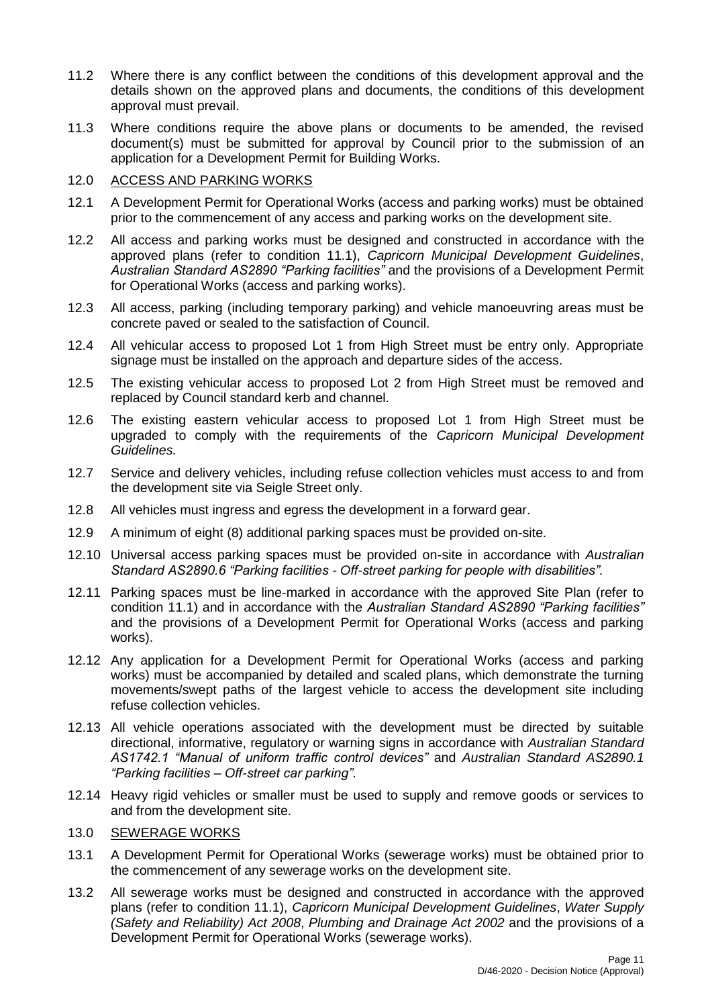- 11.2 Where there is any conflict between the conditions of this development approval and the details shown on the approved plans and documents, the conditions of this development approval must prevail.
- 11.3 Where conditions require the above plans or documents to be amended, the revised document(s) must be submitted for approval by Council prior to the submission of an application for a Development Permit for Building Works.

## 12.0 ACCESS AND PARKING WORKS

- 12.1 A Development Permit for Operational Works (access and parking works) must be obtained prior to the commencement of any access and parking works on the development site.
- 12.2 All access and parking works must be designed and constructed in accordance with the approved plans (refer to condition 11.1), *Capricorn Municipal Development Guidelines*, *Australian Standard AS2890 "Parking facilities"* and the provisions of a Development Permit for Operational Works (access and parking works).
- 12.3 All access, parking (including temporary parking) and vehicle manoeuvring areas must be concrete paved or sealed to the satisfaction of Council.
- 12.4 All vehicular access to proposed Lot 1 from High Street must be entry only. Appropriate signage must be installed on the approach and departure sides of the access.
- 12.5 The existing vehicular access to proposed Lot 2 from High Street must be removed and replaced by Council standard kerb and channel.
- 12.6 The existing eastern vehicular access to proposed Lot 1 from High Street must be upgraded to comply with the requirements of the *Capricorn Municipal Development Guidelines.*
- 12.7 Service and delivery vehicles, including refuse collection vehicles must access to and from the development site via Seigle Street only.
- 12.8 All vehicles must ingress and egress the development in a forward gear.
- 12.9 A minimum of eight (8) additional parking spaces must be provided on-site.
- 12.10 Universal access parking spaces must be provided on-site in accordance with *Australian Standard AS2890.6 "Parking facilities - Off-street parking for people with disabilities".*
- 12.11 Parking spaces must be line-marked in accordance with the approved Site Plan (refer to condition 11.1) and in accordance with the *Australian Standard AS2890 "Parking facilities"* and the provisions of a Development Permit for Operational Works (access and parking works).
- 12.12 Any application for a Development Permit for Operational Works (access and parking works) must be accompanied by detailed and scaled plans, which demonstrate the turning movements/swept paths of the largest vehicle to access the development site including refuse collection vehicles.
- 12.13 All vehicle operations associated with the development must be directed by suitable directional, informative, regulatory or warning signs in accordance with *Australian Standard AS1742.1 "Manual of uniform traffic control devices"* and *Australian Standard AS2890.1 "Parking facilities – Off-street car parking"*.
- 12.14 Heavy rigid vehicles or smaller must be used to supply and remove goods or services to and from the development site.

## 13.0 SEWERAGE WORKS

- 13.1 A Development Permit for Operational Works (sewerage works) must be obtained prior to the commencement of any sewerage works on the development site.
- 13.2 All sewerage works must be designed and constructed in accordance with the approved plans (refer to condition 11.1), *Capricorn Municipal Development Guidelines*, *Water Supply (Safety and Reliability) Act 2008*, *Plumbing and Drainage Act 2002* and the provisions of a Development Permit for Operational Works (sewerage works).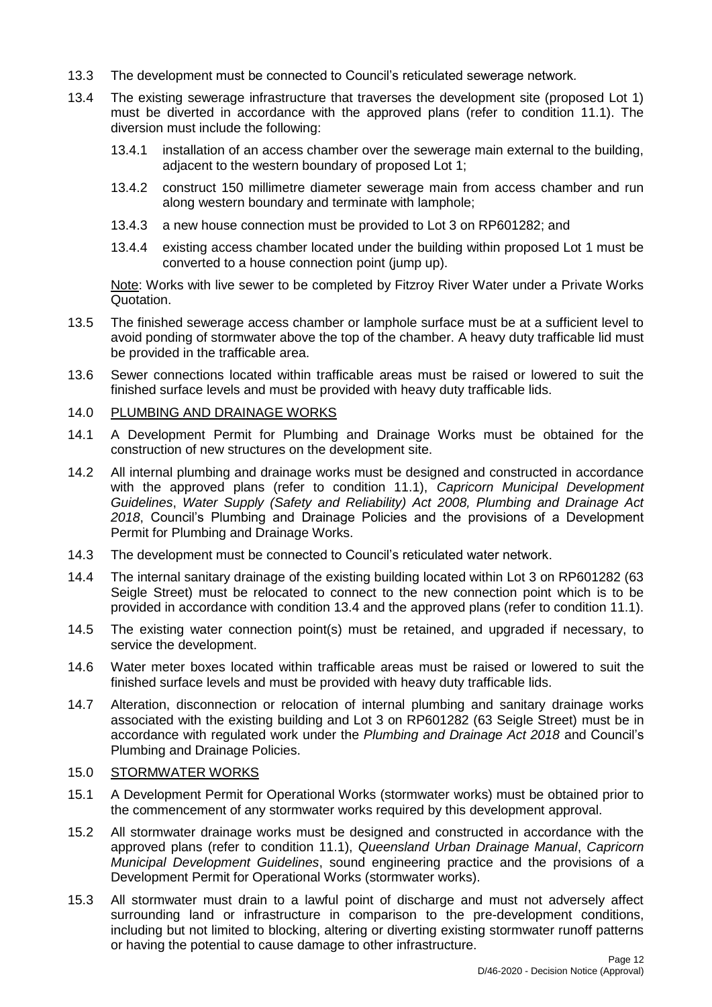- 13.3 The development must be connected to Council's reticulated sewerage network*.*
- 13.4 The existing sewerage infrastructure that traverses the development site (proposed Lot 1) must be diverted in accordance with the approved plans (refer to condition 11.1). The diversion must include the following:
	- 13.4.1 installation of an access chamber over the sewerage main external to the building, adjacent to the western boundary of proposed Lot 1;
	- 13.4.2 construct 150 millimetre diameter sewerage main from access chamber and run along western boundary and terminate with lamphole;
	- 13.4.3 a new house connection must be provided to Lot 3 on RP601282; and
	- 13.4.4 existing access chamber located under the building within proposed Lot 1 must be converted to a house connection point (jump up).

Note: Works with live sewer to be completed by Fitzroy River Water under a Private Works Quotation.

- 13.5 The finished sewerage access chamber or lamphole surface must be at a sufficient level to avoid ponding of stormwater above the top of the chamber. A heavy duty trafficable lid must be provided in the trafficable area.
- 13.6 Sewer connections located within trafficable areas must be raised or lowered to suit the finished surface levels and must be provided with heavy duty trafficable lids.

#### 14.0 PLUMBING AND DRAINAGE WORKS

- 14.1 A Development Permit for Plumbing and Drainage Works must be obtained for the construction of new structures on the development site.
- 14.2 All internal plumbing and drainage works must be designed and constructed in accordance with the approved plans (refer to condition 11.1), *Capricorn Municipal Development Guidelines*, *Water Supply (Safety and Reliability) Act 2008, Plumbing and Drainage Act 2018*, Council's Plumbing and Drainage Policies and the provisions of a Development Permit for Plumbing and Drainage Works.
- 14.3 The development must be connected to Council's reticulated water network.
- 14.4 The internal sanitary drainage of the existing building located within Lot 3 on RP601282 (63 Seigle Street) must be relocated to connect to the new connection point which is to be provided in accordance with condition 13.4 and the approved plans (refer to condition 11.1).
- 14.5 The existing water connection point(s) must be retained, and upgraded if necessary, to service the development.
- 14.6 Water meter boxes located within trafficable areas must be raised or lowered to suit the finished surface levels and must be provided with heavy duty trafficable lids.
- 14.7 Alteration, disconnection or relocation of internal plumbing and sanitary drainage works associated with the existing building and Lot 3 on RP601282 (63 Seigle Street) must be in accordance with regulated work under the *Plumbing and Drainage Act 2018* and Council's Plumbing and Drainage Policies.

#### 15.0 STORMWATER WORKS

- 15.1 A Development Permit for Operational Works (stormwater works) must be obtained prior to the commencement of any stormwater works required by this development approval.
- 15.2 All stormwater drainage works must be designed and constructed in accordance with the approved plans (refer to condition 11.1), *Queensland Urban Drainage Manual*, *Capricorn Municipal Development Guidelines*, sound engineering practice and the provisions of a Development Permit for Operational Works (stormwater works).
- 15.3 All stormwater must drain to a lawful point of discharge and must not adversely affect surrounding land or infrastructure in comparison to the pre-development conditions, including but not limited to blocking, altering or diverting existing stormwater runoff patterns or having the potential to cause damage to other infrastructure.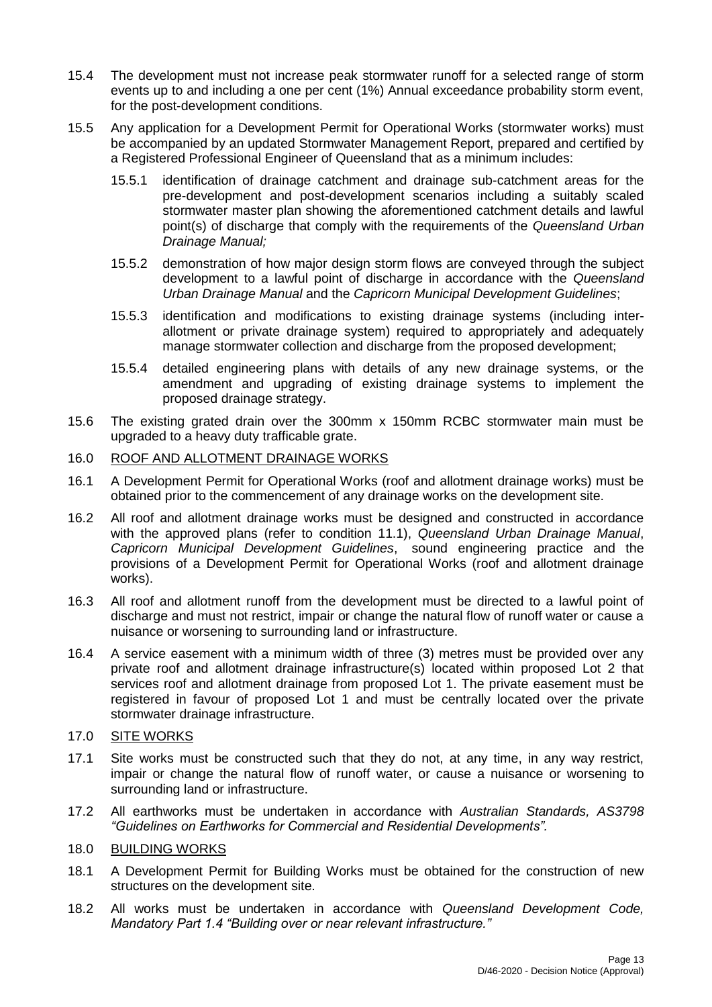- 15.4 The development must not increase peak stormwater runoff for a selected range of storm events up to and including a one per cent (1%) Annual exceedance probability storm event, for the post-development conditions.
- 15.5 Any application for a Development Permit for Operational Works (stormwater works) must be accompanied by an updated Stormwater Management Report, prepared and certified by a Registered Professional Engineer of Queensland that as a minimum includes:
	- 15.5.1 identification of drainage catchment and drainage sub-catchment areas for the pre-development and post-development scenarios including a suitably scaled stormwater master plan showing the aforementioned catchment details and lawful point(s) of discharge that comply with the requirements of the *Queensland Urban Drainage Manual;*
	- 15.5.2 demonstration of how major design storm flows are conveyed through the subject development to a lawful point of discharge in accordance with the *Queensland Urban Drainage Manual* and the *Capricorn Municipal Development Guidelines*;
	- 15.5.3 identification and modifications to existing drainage systems (including interallotment or private drainage system) required to appropriately and adequately manage stormwater collection and discharge from the proposed development;
	- 15.5.4 detailed engineering plans with details of any new drainage systems, or the amendment and upgrading of existing drainage systems to implement the proposed drainage strategy.
- 15.6 The existing grated drain over the 300mm x 150mm RCBC stormwater main must be upgraded to a heavy duty trafficable grate.

## 16.0 ROOF AND ALLOTMENT DRAINAGE WORKS

- 16.1 A Development Permit for Operational Works (roof and allotment drainage works) must be obtained prior to the commencement of any drainage works on the development site.
- 16.2 All roof and allotment drainage works must be designed and constructed in accordance with the approved plans (refer to condition 11.1), *Queensland Urban Drainage Manual*, *Capricorn Municipal Development Guidelines*, sound engineering practice and the provisions of a Development Permit for Operational Works (roof and allotment drainage works).
- 16.3 All roof and allotment runoff from the development must be directed to a lawful point of discharge and must not restrict, impair or change the natural flow of runoff water or cause a nuisance or worsening to surrounding land or infrastructure.
- 16.4 A service easement with a minimum width of three (3) metres must be provided over any private roof and allotment drainage infrastructure(s) located within proposed Lot 2 that services roof and allotment drainage from proposed Lot 1. The private easement must be registered in favour of proposed Lot 1 and must be centrally located over the private stormwater drainage infrastructure.
- 17.0 SITE WORKS
- 17.1 Site works must be constructed such that they do not, at any time, in any way restrict, impair or change the natural flow of runoff water, or cause a nuisance or worsening to surrounding land or infrastructure.
- 17.2 All earthworks must be undertaken in accordance with *Australian Standards, AS3798 "Guidelines on Earthworks for Commercial and Residential Developments".*
- 18.0 BUILDING WORKS
- 18.1 A Development Permit for Building Works must be obtained for the construction of new structures on the development site.
- 18.2 All works must be undertaken in accordance with *Queensland Development Code, Mandatory Part 1.4 "Building over or near relevant infrastructure."*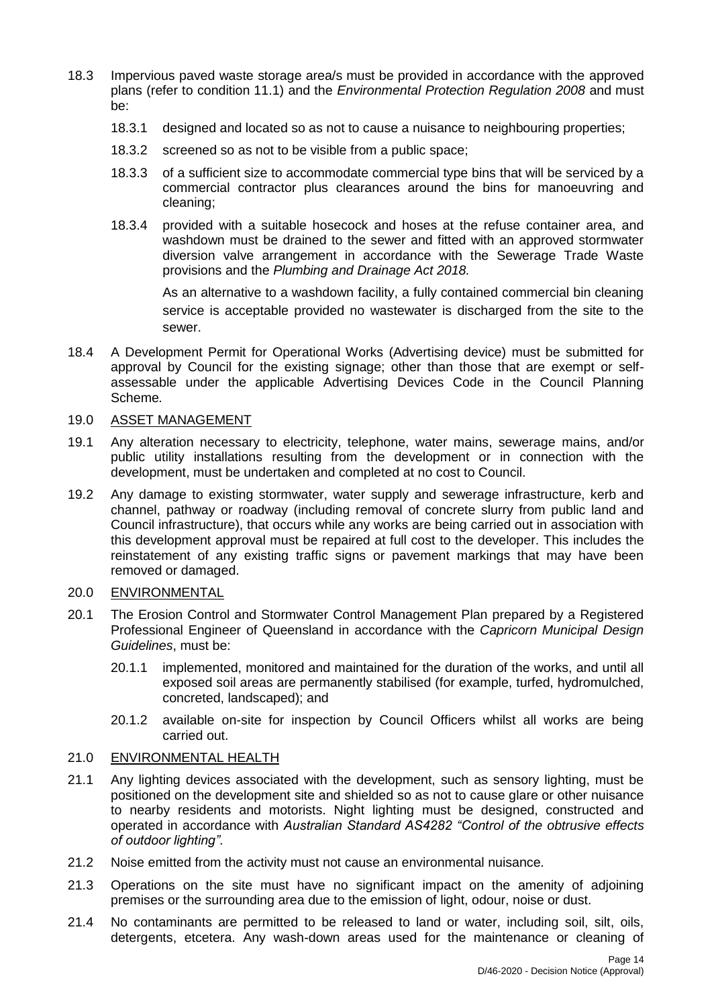- 18.3 Impervious paved waste storage area/s must be provided in accordance with the approved plans (refer to condition 11.1) and the *Environmental Protection Regulation 2008* and must be:
	- 18.3.1 designed and located so as not to cause a nuisance to neighbouring properties;
	- 18.3.2 screened so as not to be visible from a public space;
	- 18.3.3 of a sufficient size to accommodate commercial type bins that will be serviced by a commercial contractor plus clearances around the bins for manoeuvring and cleaning;
	- 18.3.4 provided with a suitable hosecock and hoses at the refuse container area, and washdown must be drained to the sewer and fitted with an approved stormwater diversion valve arrangement in accordance with the Sewerage Trade Waste provisions and the *Plumbing and Drainage Act 2018.*

As an alternative to a washdown facility, a fully contained commercial bin cleaning service is acceptable provided no wastewater is discharged from the site to the sewer.

18.4 A Development Permit for Operational Works (Advertising device) must be submitted for approval by Council for the existing signage; other than those that are exempt or selfassessable under the applicable Advertising Devices Code in the Council Planning Scheme*.*

#### 19.0 ASSET MANAGEMENT

- 19.1 Any alteration necessary to electricity, telephone, water mains, sewerage mains, and/or public utility installations resulting from the development or in connection with the development, must be undertaken and completed at no cost to Council.
- 19.2 Any damage to existing stormwater, water supply and sewerage infrastructure, kerb and channel, pathway or roadway (including removal of concrete slurry from public land and Council infrastructure), that occurs while any works are being carried out in association with this development approval must be repaired at full cost to the developer. This includes the reinstatement of any existing traffic signs or pavement markings that may have been removed or damaged.

#### 20.0 ENVIRONMENTAL

- 20.1 The Erosion Control and Stormwater Control Management Plan prepared by a Registered Professional Engineer of Queensland in accordance with the *Capricorn Municipal Design Guidelines*, must be:
	- 20.1.1 implemented, monitored and maintained for the duration of the works, and until all exposed soil areas are permanently stabilised (for example, turfed, hydromulched, concreted, landscaped); and
	- 20.1.2 available on-site for inspection by Council Officers whilst all works are being carried out.

#### 21.0 ENVIRONMENTAL HEALTH

- 21.1 Any lighting devices associated with the development, such as sensory lighting, must be positioned on the development site and shielded so as not to cause glare or other nuisance to nearby residents and motorists. Night lighting must be designed, constructed and operated in accordance with *Australian Standard AS4282 "Control of the obtrusive effects of outdoor lighting"*.
- 21.2 Noise emitted from the activity must not cause an environmental nuisance.
- 21.3 Operations on the site must have no significant impact on the amenity of adjoining premises or the surrounding area due to the emission of light, odour, noise or dust.
- 21.4 No contaminants are permitted to be released to land or water, including soil, silt, oils, detergents, etcetera. Any wash-down areas used for the maintenance or cleaning of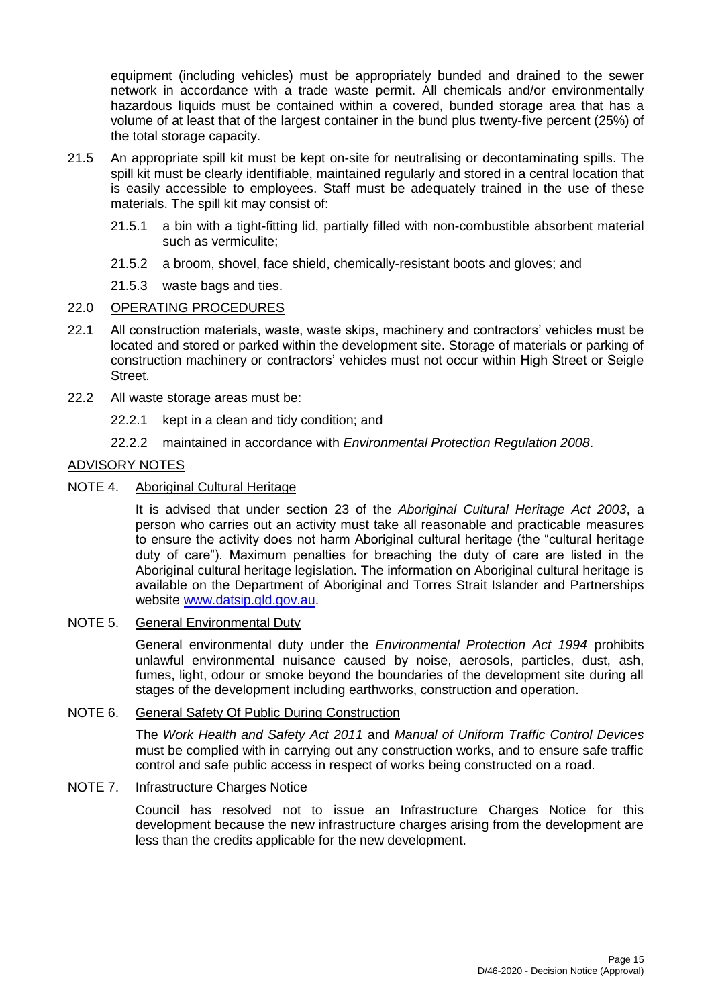equipment (including vehicles) must be appropriately bunded and drained to the sewer network in accordance with a trade waste permit. All chemicals and/or environmentally hazardous liquids must be contained within a covered, bunded storage area that has a volume of at least that of the largest container in the bund plus twenty-five percent (25%) of the total storage capacity.

- 21.5 An appropriate spill kit must be kept on-site for neutralising or decontaminating spills. The spill kit must be clearly identifiable, maintained regularly and stored in a central location that is easily accessible to employees. Staff must be adequately trained in the use of these materials. The spill kit may consist of:
	- 21.5.1 a bin with a tight-fitting lid, partially filled with non-combustible absorbent material such as vermiculite;
	- 21.5.2 a broom, shovel, face shield, chemically-resistant boots and gloves; and
	- 21.5.3 waste bags and ties.

## 22.0 OPERATING PROCEDURES

- 22.1 All construction materials, waste, waste skips, machinery and contractors' vehicles must be located and stored or parked within the development site. Storage of materials or parking of construction machinery or contractors' vehicles must not occur within High Street or Seigle Street.
- 22.2 All waste storage areas must be:
	- 22.2.1 kept in a clean and tidy condition; and
	- 22.2.2 maintained in accordance with *Environmental Protection Regulation 2008*.

## ADVISORY NOTES

NOTE 4. Aboriginal Cultural Heritage

It is advised that under section 23 of the *Aboriginal Cultural Heritage Act 2003*, a person who carries out an activity must take all reasonable and practicable measures to ensure the activity does not harm Aboriginal cultural heritage (the "cultural heritage duty of care"). Maximum penalties for breaching the duty of care are listed in the Aboriginal cultural heritage legislation. The information on Aboriginal cultural heritage is available on the Department of Aboriginal and Torres Strait Islander and Partnerships website [www.datsip.qld.gov.au.](http://www.datsip.qld.gov.au/)

## NOTE 5. General Environmental Duty

General environmental duty under the *Environmental Protection Act 1994* prohibits unlawful environmental nuisance caused by noise, aerosols, particles, dust, ash, fumes, light, odour or smoke beyond the boundaries of the development site during all stages of the development including earthworks, construction and operation.

## NOTE 6. General Safety Of Public During Construction

The *Work Health and Safety Act 2011* and *Manual of Uniform Traffic Control Devices* must be complied with in carrying out any construction works, and to ensure safe traffic control and safe public access in respect of works being constructed on a road.

## NOTE 7. Infrastructure Charges Notice

Council has resolved not to issue an Infrastructure Charges Notice for this development because the new infrastructure charges arising from the development are less than the credits applicable for the new development.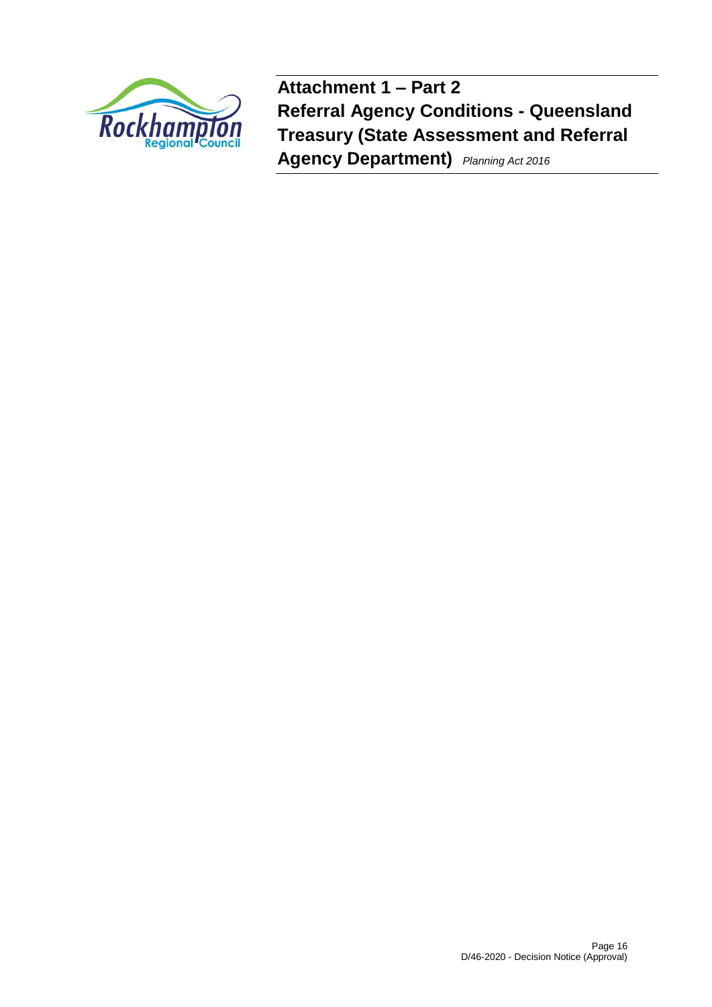

**Attachment 1 – Part 2 Referral Agency Conditions - Queensland Treasury (State Assessment and Referral Agency Department)** *Planning Act <sup>2016</sup>*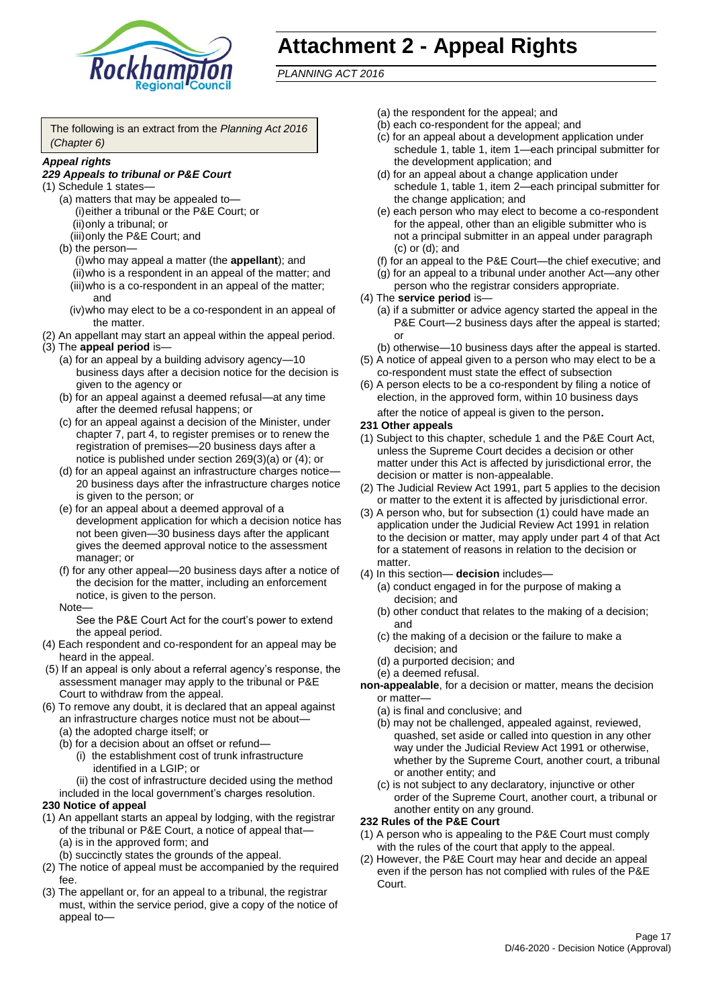

# **Attachment 2 - Appeal Rights**

*PLANNING ACT 2016*

The following is an extract from the *Planning Act 2016 (Chapter 6)*

#### *Appeal rights*

#### *229 Appeals to tribunal or P&E Court*

- (1) Schedule 1 states—
	- (a) matters that may be appealed to— (i)either a tribunal or the P&E Court; or (ii)only a tribunal; or
	- (iii)only the P&E Court; and (b) the person—
		- (i)who may appeal a matter (the **appellant**); and (ii)who is a respondent in an appeal of the matter; and (iii)who is a co-respondent in an appeal of the matter; and
		- (iv)who may elect to be a co-respondent in an appeal of the matter.
- (2) An appellant may start an appeal within the appeal period.
- (3) The **appeal period** is—
	- (a) for an appeal by a building advisory agency—10 business days after a decision notice for the decision is given to the agency or
	- (b) for an appeal against a deemed refusal—at any time after the deemed refusal happens; or
	- (c) for an appeal against a decision of the Minister, under chapter 7, part 4, to register premises or to renew the registration of premises—20 business days after a notice is published under section 269(3)(a) or (4); or
	- (d) for an appeal against an infrastructure charges notice— 20 business days after the infrastructure charges notice is given to the person; or
	- (e) for an appeal about a deemed approval of a development application for which a decision notice has not been given—30 business days after the applicant gives the deemed approval notice to the assessment manager; or
	- (f) for any other appeal—20 business days after a notice of the decision for the matter, including an enforcement notice, is given to the person.

#### Note—

See the P&E Court Act for the court's power to extend the appeal period.

- (4) Each respondent and co-respondent for an appeal may be heard in the appeal.
- (5) If an appeal is only about a referral agency's response, the assessment manager may apply to the tribunal or P&E Court to withdraw from the appeal.
- (6) To remove any doubt, it is declared that an appeal against an infrastructure charges notice must not be about—
	- (a) the adopted charge itself; or
	- (b) for a decision about an offset or refund—
		- (i) the establishment cost of trunk infrastructure identified in a LGIP; or
		- (ii) the cost of infrastructure decided using the method
	- included in the local government's charges resolution.

#### **230 Notice of appeal**

- (1) An appellant starts an appeal by lodging, with the registrar of the tribunal or P&E Court, a notice of appeal that—
	- (a) is in the approved form; and
	- (b) succinctly states the grounds of the appeal.
- (2) The notice of appeal must be accompanied by the required fee.
- (3) The appellant or, for an appeal to a tribunal, the registrar must, within the service period, give a copy of the notice of appeal to—
- (a) the respondent for the appeal; and
- (b) each co-respondent for the appeal; and
- (c) for an appeal about a development application under schedule 1, table 1, item 1—each principal submitter for the development application; and
- (d) for an appeal about a change application under schedule 1, table 1, item 2—each principal submitter for the change application; and
- (e) each person who may elect to become a co-respondent for the appeal, other than an eligible submitter who is not a principal submitter in an appeal under paragraph (c) or (d); and
- (f) for an appeal to the P&E Court—the chief executive; and
- (g) for an appeal to a tribunal under another Act—any other person who the registrar considers appropriate.
- (4) The **service period** is—
	- (a) if a submitter or advice agency started the appeal in the P&E Court—2 business days after the appeal is started; or
	- (b) otherwise—10 business days after the appeal is started.
- (5) A notice of appeal given to a person who may elect to be a co-respondent must state the effect of subsection
- (6) A person elects to be a co-respondent by filing a notice of election, in the approved form, within 10 business days after the notice of appeal is given to the person*.*
- **231 Other appeals**
- (1) Subject to this chapter, schedule 1 and the P&E Court Act, unless the Supreme Court decides a decision or other matter under this Act is affected by jurisdictional error, the decision or matter is non-appealable.
- (2) The Judicial Review Act 1991, part 5 applies to the decision or matter to the extent it is affected by jurisdictional error.
- (3) A person who, but for subsection (1) could have made an application under the Judicial Review Act 1991 in relation to the decision or matter, may apply under part 4 of that Act for a statement of reasons in relation to the decision or matter.
- (4) In this section— **decision** includes—
	- (a) conduct engaged in for the purpose of making a decision; and
	- (b) other conduct that relates to the making of a decision; and
	- (c) the making of a decision or the failure to make a decision; and
	- (d) a purported decision; and
	- (e) a deemed refusal.

**non-appealable**, for a decision or matter, means the decision or matter—

- (a) is final and conclusive; and
- (b) may not be challenged, appealed against, reviewed, quashed, set aside or called into question in any other way under the Judicial Review Act 1991 or otherwise, whether by the Supreme Court, another court, a tribunal or another entity; and
- (c) is not subject to any declaratory, injunctive or other order of the Supreme Court, another court, a tribunal or another entity on any ground.

#### **232 Rules of the P&E Court**

- (1) A person who is appealing to the P&E Court must comply with the rules of the court that apply to the appeal.
- (2) However, the P&E Court may hear and decide an appeal even if the person has not complied with rules of the P&E Court.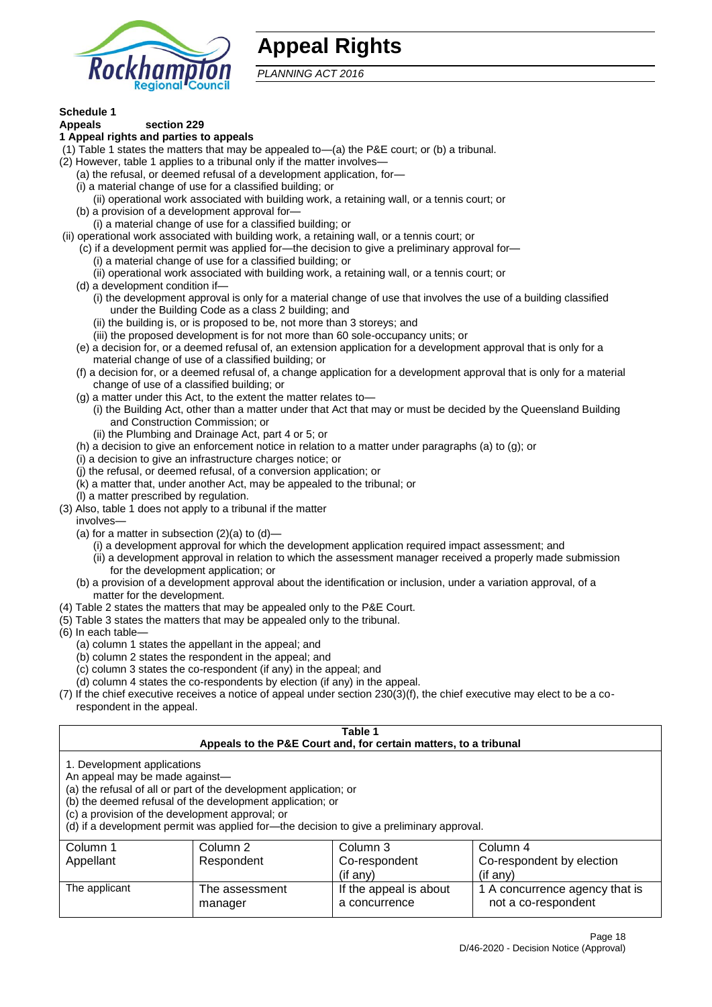

# **Appeal Rights**

*PLANNING ACT 2016*

# **Schedule 1**

#### **Appeals section 229 1 Appeal rights and parties to appeals**

- (1) Table 1 states the matters that may be appealed to—(a) the P&E court; or (b) a tribunal.
- (2) However, table 1 applies to a tribunal only if the matter involves—
	- (a) the refusal, or deemed refusal of a development application, for—
	- (i) a material change of use for a classified building; or
	- (ii) operational work associated with building work, a retaining wall, or a tennis court; or
	- (b) a provision of a development approval for—
	- (i) a material change of use for a classified building; or
- (ii) operational work associated with building work, a retaining wall, or a tennis court; or
	- (c) if a development permit was applied for—the decision to give a preliminary approval for—
		- (i) a material change of use for a classified building; or
	- (ii) operational work associated with building work, a retaining wall, or a tennis court; or
	- (d) a development condition if—
		- (i) the development approval is only for a material change of use that involves the use of a building classified under the Building Code as a class 2 building; and
		- (ii) the building is, or is proposed to be, not more than 3 storeys; and
		- (iii) the proposed development is for not more than 60 sole-occupancy units; or
	- (e) a decision for, or a deemed refusal of, an extension application for a development approval that is only for a material change of use of a classified building; or
	- (f) a decision for, or a deemed refusal of, a change application for a development approval that is only for a material change of use of a classified building; or
	- (g) a matter under this Act, to the extent the matter relates to—
		- (i) the Building Act, other than a matter under that Act that may or must be decided by the Queensland Building and Construction Commission; or
		- (ii) the Plumbing and Drainage Act, part 4 or 5; or
	- (h) a decision to give an enforcement notice in relation to a matter under paragraphs (a) to (g); or
	- (i) a decision to give an infrastructure charges notice; or
	- (j) the refusal, or deemed refusal, of a conversion application; or
	- (k) a matter that, under another Act, may be appealed to the tribunal; or
	- (l) a matter prescribed by regulation.
- (3) Also, table 1 does not apply to a tribunal if the matter

involves—

- (a) for a matter in subsection  $(2)(a)$  to  $(d)$ 
	- (i) a development approval for which the development application required impact assessment; and
	- (ii) a development approval in relation to which the assessment manager received a properly made submission for the development application; or
- (b) a provision of a development approval about the identification or inclusion, under a variation approval, of a matter for the development.
- (4) Table 2 states the matters that may be appealed only to the P&E Court.
- (5) Table 3 states the matters that may be appealed only to the tribunal.
- (6) In each table—
	- (a) column 1 states the appellant in the appeal; and
	- (b) column 2 states the respondent in the appeal; and
	- (c) column 3 states the co-respondent (if any) in the appeal; and
	- (d) column 4 states the co-respondents by election (if any) in the appeal.
- (7) If the chief executive receives a notice of appeal under section 230(3)(f), the chief executive may elect to be a corespondent in the appeal.

| Table 1<br>Appeals to the P&E Court and, for certain matters, to a tribunal                                                                                                                                                                                                                                                                    |                           |                                         |                                                       |  |
|------------------------------------------------------------------------------------------------------------------------------------------------------------------------------------------------------------------------------------------------------------------------------------------------------------------------------------------------|---------------------------|-----------------------------------------|-------------------------------------------------------|--|
| 1. Development applications<br>An appeal may be made against-<br>(a) the refusal of all or part of the development application; or<br>(b) the deemed refusal of the development application; or<br>(c) a provision of the development approval; or<br>(d) if a development permit was applied for-the decision to give a preliminary approval. |                           |                                         |                                                       |  |
| Column 1                                                                                                                                                                                                                                                                                                                                       | Column 2                  | Column 3                                | Column 4                                              |  |
| Appellant                                                                                                                                                                                                                                                                                                                                      | Respondent                | Co-respondent                           | Co-respondent by election                             |  |
| $($ if any $)$<br>$(i$ f anv $)$                                                                                                                                                                                                                                                                                                               |                           |                                         |                                                       |  |
| The applicant                                                                                                                                                                                                                                                                                                                                  | The assessment<br>manager | If the appeal is about<br>a concurrence | 1 A concurrence agency that is<br>not a co-respondent |  |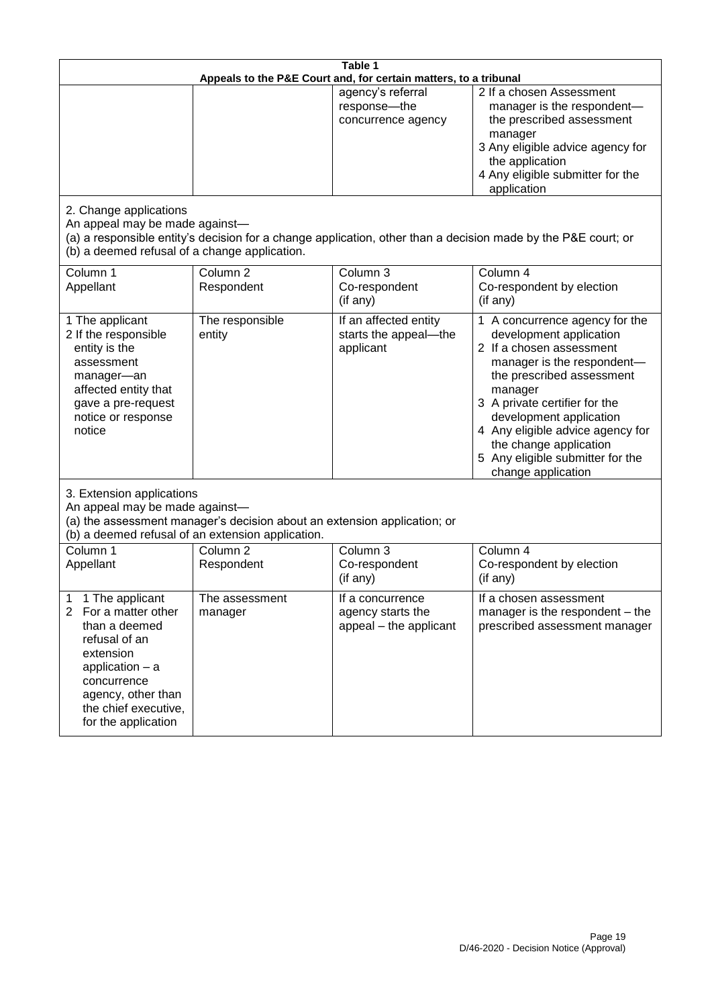| Table 1<br>Appeals to the P&E Court and, for certain matters, to a tribunal                                                                                                                                          |                                                                                                                               |                                                                 |                                                                                                                                                                                                                                                                                                                                                 |
|----------------------------------------------------------------------------------------------------------------------------------------------------------------------------------------------------------------------|-------------------------------------------------------------------------------------------------------------------------------|-----------------------------------------------------------------|-------------------------------------------------------------------------------------------------------------------------------------------------------------------------------------------------------------------------------------------------------------------------------------------------------------------------------------------------|
|                                                                                                                                                                                                                      |                                                                                                                               | agency's referral<br>response-the<br>concurrence agency         | 2 If a chosen Assessment<br>manager is the respondent-<br>the prescribed assessment<br>manager<br>3 Any eligible advice agency for<br>the application<br>4 Any eligible submitter for the<br>application                                                                                                                                        |
| 2. Change applications<br>An appeal may be made against-<br>(b) a deemed refusal of a change application.                                                                                                            |                                                                                                                               |                                                                 | (a) a responsible entity's decision for a change application, other than a decision made by the P&E court; or                                                                                                                                                                                                                                   |
| Column 1<br>Appellant                                                                                                                                                                                                | Column <sub>2</sub><br>Respondent                                                                                             | Column 3<br>Co-respondent<br>(if any)                           | Column 4<br>Co-respondent by election<br>(if any)                                                                                                                                                                                                                                                                                               |
| 1 The applicant<br>2 If the responsible<br>entity is the<br>assessment<br>manager-an<br>affected entity that<br>gave a pre-request<br>notice or response<br>notice                                                   | The responsible<br>entity                                                                                                     | If an affected entity<br>starts the appeal-the<br>applicant     | 1 A concurrence agency for the<br>development application<br>2 If a chosen assessment<br>manager is the respondent-<br>the prescribed assessment<br>manager<br>3 A private certifier for the<br>development application<br>4 Any eligible advice agency for<br>the change application<br>5 Any eligible submitter for the<br>change application |
| 3. Extension applications<br>An appeal may be made against-                                                                                                                                                          | (a) the assessment manager's decision about an extension application; or<br>(b) a deemed refusal of an extension application. |                                                                 |                                                                                                                                                                                                                                                                                                                                                 |
| Column 1<br>Appellant                                                                                                                                                                                                | Column <sub>2</sub><br>Respondent                                                                                             | Column 3<br>Co-respondent<br>(if any)                           | Column 4<br>Co-respondent by election<br>(if any)                                                                                                                                                                                                                                                                                               |
| 1 The applicant<br>1<br>$\overline{2}$<br>For a matter other<br>than a deemed<br>refusal of an<br>extension<br>application $-$ a<br>concurrence<br>agency, other than<br>the chief executive,<br>for the application | The assessment<br>manager                                                                                                     | If a concurrence<br>agency starts the<br>appeal - the applicant | If a chosen assessment<br>manager is the respondent – the<br>prescribed assessment manager                                                                                                                                                                                                                                                      |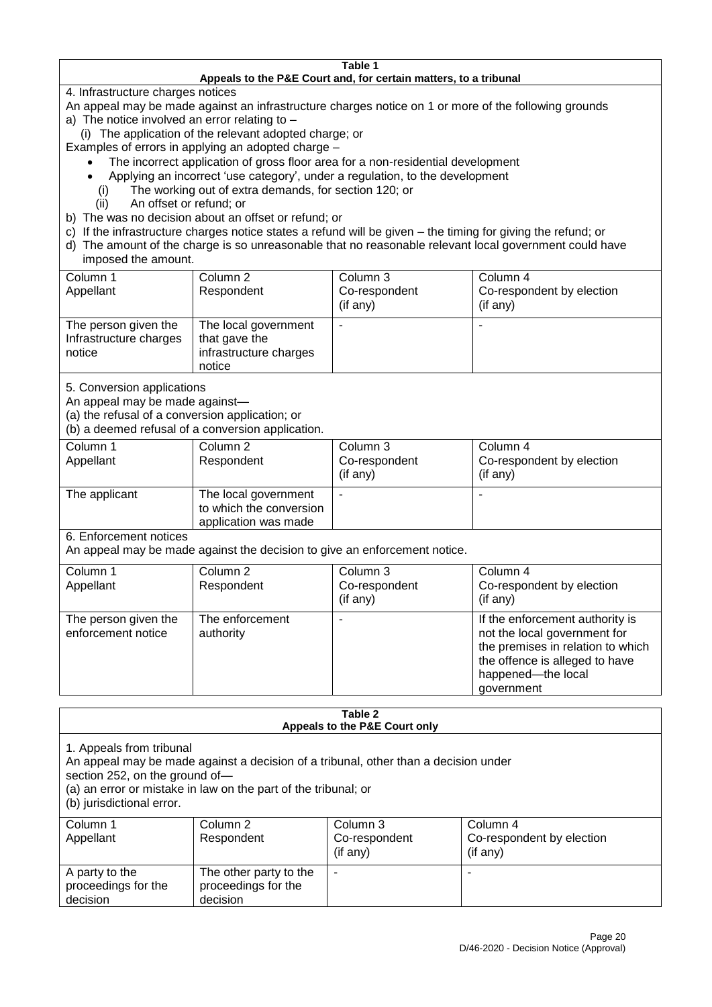#### **Table 1 Appeals to the P&E Court and, for certain matters, to a tribunal**

4. Infrastructure charges notices

- An appeal may be made against an infrastructure charges notice on 1 or more of the following grounds
- a) The notice involved an error relating to
	- (i) The application of the relevant adopted charge; or
- Examples of errors in applying an adopted charge
	- The incorrect application of gross floor area for a non-residential development
	- Applying an incorrect 'use category', under a regulation, to the development
	- (i) The working out of extra demands, for section 120; or
	- (ii) An offset or refund; or
- b) The was no decision about an offset or refund; or
- c) If the infrastructure charges notice states a refund will be given the timing for giving the refund; or
- d) The amount of the charge is so unreasonable that no reasonable relevant local government could have

## imposed the amount.

| Column 1<br>Appellant                                    | Column 2<br>Respondent                                                    | Column 3<br>Co-respondent<br>(if any) | Column 4<br>Co-respondent by election<br>$($ if any $)$ |
|----------------------------------------------------------|---------------------------------------------------------------------------|---------------------------------------|---------------------------------------------------------|
| The person given the<br>Infrastructure charges<br>notice | The local government<br>that gave the<br>infrastructure charges<br>notice | -                                     |                                                         |

5. Conversion applications

An appeal may be made against—

(a) the refusal of a conversion application; or

(b) a deemed refusal of a conversion application.

| Column 1      | Column 2                | Column 3       | Column 4                  |
|---------------|-------------------------|----------------|---------------------------|
| Appellant     | Respondent              | Co-respondent  | Co-respondent by election |
|               |                         | $($ if any $)$ | $($ if any $)$            |
|               |                         |                |                           |
| The applicant | The local government    | ٠              | ٠                         |
|               | to which the conversion |                |                           |
|               | application was made    |                |                           |

6. Enforcement notices

An appeal may be made against the decision to give an enforcement notice.

| Column 1<br>Appellant                      | Column 2<br>Respondent       | Column 3<br>Co-respondent<br>(if any) | Column 4<br>Co-respondent by election<br>(if any)                                                                                                                          |
|--------------------------------------------|------------------------------|---------------------------------------|----------------------------------------------------------------------------------------------------------------------------------------------------------------------------|
| The person given the<br>enforcement notice | The enforcement<br>authority |                                       | If the enforcement authority is<br>not the local government for<br>the premises in relation to which<br>the offence is alleged to have<br>happened-the local<br>government |

#### **Table 2 Appeals to the P&E Court only**

1. Appeals from tribunal

An appeal may be made against a decision of a tribunal, other than a decision under

section 252, on the ground of—

(a) an error or mistake in law on the part of the tribunal; or

(b) jurisdictional error.

| Column 1<br>Appellant                             | Column 2<br>Respondent                                    | Column 3<br>Co-respondent<br>$($ if any $)$ | Column 4<br>Co-respondent by election<br>(if any) |
|---------------------------------------------------|-----------------------------------------------------------|---------------------------------------------|---------------------------------------------------|
| A party to the<br>proceedings for the<br>decision | The other party to the<br>proceedings for the<br>decision | ۰                                           |                                                   |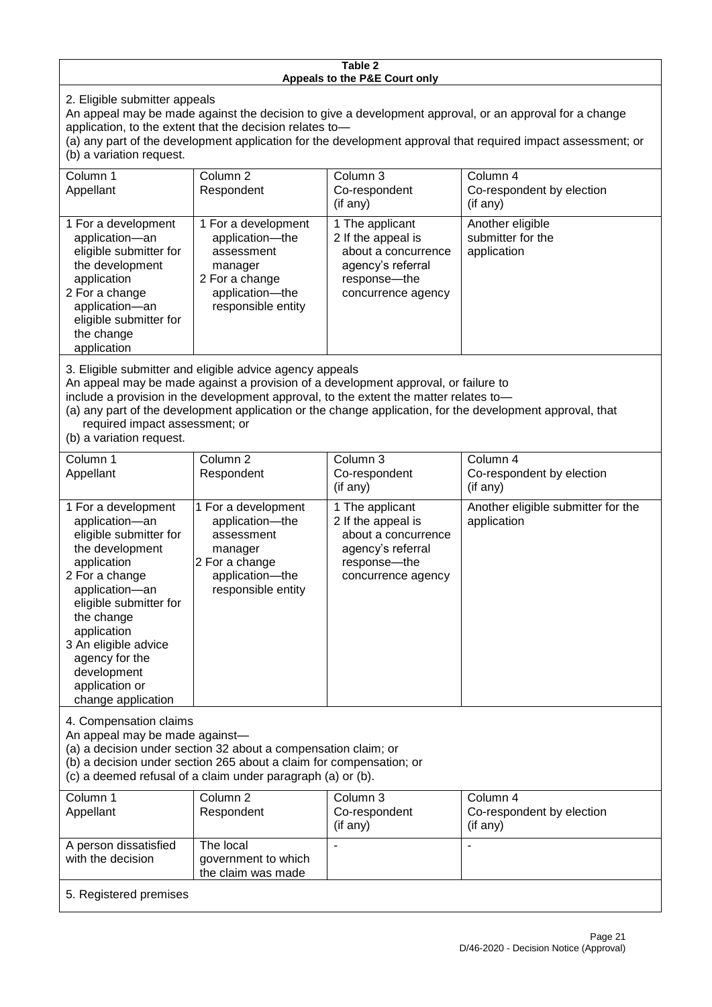#### **Table 2 Appeals to the P&E Court only**

2. Eligible submitter appeals

An appeal may be made against the decision to give a development approval, or an approval for a change application, to the extent that the decision relates to—

(a) any part of the development application for the development approval that required impact assessment; or (b) a variation request.

| Column 1<br>Appellant                                                                                                                                                                                                                                                                                                                                                                                              | Column 2<br>Respondent                                                                                                     | Column 3<br>Co-respondent<br>(if any)                                                                                   | Column 4<br>Co-respondent by election<br>(if any)    |
|--------------------------------------------------------------------------------------------------------------------------------------------------------------------------------------------------------------------------------------------------------------------------------------------------------------------------------------------------------------------------------------------------------------------|----------------------------------------------------------------------------------------------------------------------------|-------------------------------------------------------------------------------------------------------------------------|------------------------------------------------------|
| 1 For a development<br>application-an<br>eligible submitter for<br>the development<br>application<br>2 For a change<br>application-an<br>eligible submitter for<br>the change<br>application                                                                                                                                                                                                                       | 1 For a development<br>application-the<br>assessment<br>manager<br>2 For a change<br>application-the<br>responsible entity | 1 The applicant<br>2 If the appeal is<br>about a concurrence<br>agency's referral<br>response-the<br>concurrence agency | Another eligible<br>submitter for the<br>application |
| 3. Eligible submitter and eligible advice agency appeals<br>An appeal may be made against a provision of a development approval, or failure to<br>include a provision in the development approval, to the extent the matter relates to-<br>(a) any part of the development application or the change application, for the development approval, that<br>required impact assessment; or<br>(b) a variation request. |                                                                                                                            |                                                                                                                         |                                                      |
| Column 1                                                                                                                                                                                                                                                                                                                                                                                                           | Column <sub>2</sub>                                                                                                        | Column 3                                                                                                                | Column 4                                             |

| Appellant                                                                                                                                                                                                                                                                                     | Respondent                                                                                                                 | Co-respondent<br>$($ if any $)$                                                                                           | Co-respondent by election<br>(if any)             |
|-----------------------------------------------------------------------------------------------------------------------------------------------------------------------------------------------------------------------------------------------------------------------------------------------|----------------------------------------------------------------------------------------------------------------------------|---------------------------------------------------------------------------------------------------------------------------|---------------------------------------------------|
| 1 For a development<br>application-an<br>eligible submitter for<br>the development<br>application<br>2 For a change<br>application-an<br>eligible submitter for<br>the change<br>application<br>3 An eligible advice<br>agency for the<br>development<br>application or<br>change application | 1 For a development<br>application-the<br>assessment<br>manager<br>2 For a change<br>application-the<br>responsible entity | 1 The applicant<br>2 If the appeal is<br>about a concurrence<br>agency's referral<br>response---the<br>concurrence agency | Another eligible submitter for the<br>application |

4. Compensation claims

An appeal may be made against—

(a) a decision under section 32 about a compensation claim; or

(b) a decision under section 265 about a claim for compensation; or

(c) a deemed refusal of a claim under paragraph (a) or (b).

| Column 1               | Column 2            | Column 3      | Column 4                  |
|------------------------|---------------------|---------------|---------------------------|
| Appellant              | Respondent          | Co-respondent | Co-respondent by election |
|                        |                     | (if any)      | (if any)                  |
| A person dissatisfied  | The local           |               |                           |
| with the decision      | government to which |               |                           |
|                        | the claim was made  |               |                           |
| 5. Registered premises |                     |               |                           |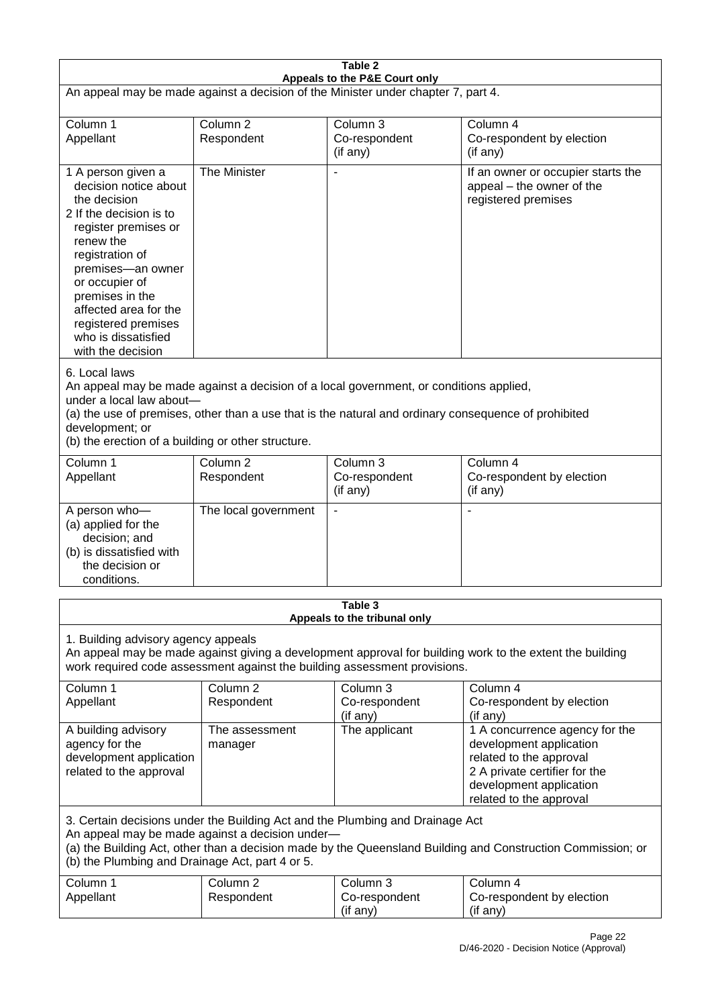| Table 2                                                                                                                                                                                                                                                                                                              |                                   |                                                  |                                                                                                                                                                             |  |  |  |
|----------------------------------------------------------------------------------------------------------------------------------------------------------------------------------------------------------------------------------------------------------------------------------------------------------------------|-----------------------------------|--------------------------------------------------|-----------------------------------------------------------------------------------------------------------------------------------------------------------------------------|--|--|--|
| Appeals to the P&E Court only<br>An appeal may be made against a decision of the Minister under chapter 7, part 4.                                                                                                                                                                                                   |                                   |                                                  |                                                                                                                                                                             |  |  |  |
| Column 1<br>Appellant                                                                                                                                                                                                                                                                                                | Column <sub>2</sub><br>Respondent | Column 3<br>Co-respondent<br>(if any)            | Column 4<br>Co-respondent by election<br>(if any)                                                                                                                           |  |  |  |
| 1 A person given a<br>decision notice about<br>the decision<br>2 If the decision is to<br>register premises or<br>renew the<br>registration of<br>premises-an owner<br>or occupier of<br>premises in the<br>affected area for the<br>registered premises<br>who is dissatisfied<br>with the decision                 | The Minister                      | $\overline{\phantom{a}}$                         | If an owner or occupier starts the<br>appeal – the owner of the<br>registered premises                                                                                      |  |  |  |
| 6. Local laws<br>An appeal may be made against a decision of a local government, or conditions applied,<br>under a local law about-<br>(a) the use of premises, other than a use that is the natural and ordinary consequence of prohibited<br>development; or<br>(b) the erection of a building or other structure. |                                   |                                                  |                                                                                                                                                                             |  |  |  |
| Column 1<br>Appellant                                                                                                                                                                                                                                                                                                | Column <sub>2</sub><br>Respondent | Column 3<br>Co-respondent<br>(if any)            | Column 4<br>Co-respondent by election<br>(if any)                                                                                                                           |  |  |  |
| A person who-<br>(a) applied for the<br>decision; and<br>(b) is dissatisfied with<br>the decision or<br>conditions.                                                                                                                                                                                                  | The local government              | $\blacksquare$                                   |                                                                                                                                                                             |  |  |  |
| Table 3<br>Appeals to the tribunal only                                                                                                                                                                                                                                                                              |                                   |                                                  |                                                                                                                                                                             |  |  |  |
| 1. Building advisory agency appeals<br>An appeal may be made against giving a development approval for building work to the extent the building<br>work required code assessment against the building assessment provisions.                                                                                         |                                   |                                                  |                                                                                                                                                                             |  |  |  |
| Column 1<br>Appellant                                                                                                                                                                                                                                                                                                | Column <sub>2</sub><br>Respondent | Column <sub>3</sub><br>Co-respondent<br>(if any) | Column 4<br>Co-respondent by election<br>(if any)                                                                                                                           |  |  |  |
| A building advisory<br>agency for the<br>development application<br>related to the approval                                                                                                                                                                                                                          | The assessment<br>manager         | The applicant                                    | 1 A concurrence agency for the<br>development application<br>related to the approval<br>2 A private certifier for the<br>development application<br>related to the approval |  |  |  |
| 3. Certain decisions under the Building Act and the Plumbing and Drainage Act<br>An appeal may be made against a decision under-<br>(a) the Building Act, other than a decision made by the Queensland Building and Construction Commission; or<br>(b) the Plumbing and Drainage Act, part 4 or 5.                   |                                   |                                                  |                                                                                                                                                                             |  |  |  |
| Column 1<br>Appellant                                                                                                                                                                                                                                                                                                | Column <sub>2</sub><br>Respondent | Column 3<br>Co-respondent<br>(if any)            | Column 4<br>Co-respondent by election<br>(if any)                                                                                                                           |  |  |  |